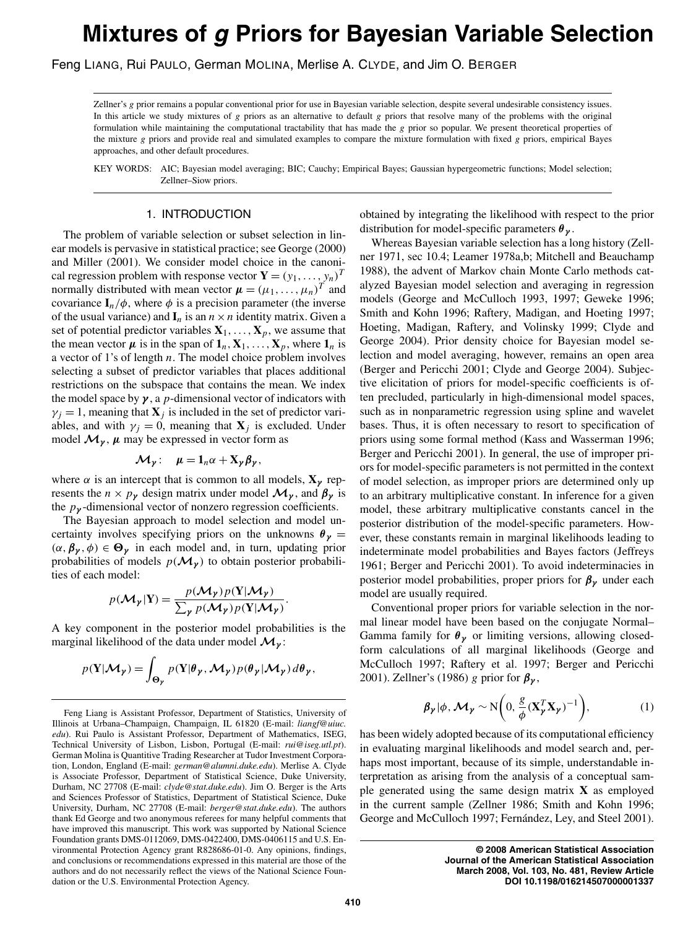Feng LIANG, Rui PAULO, German MOLINA, Merlise A. CLYDE, and Jim O. BERGER

Zellner's *g* prior remains a popular conventional prior for use in Bayesian variable selection, despite several undesirable consistency issues. In this article we study mixtures of *g* priors as an alternative to default *g* priors that resolve many of the problems with the original formulation while maintaining the computational tractability that has made the *g* prior so popular. We present theoretical properties of the mixture *g* priors and provide real and simulated examples to compare the mixture formulation with fixed *g* priors, empirical Bayes approaches, and other default procedures.

KEY WORDS: AIC; Bayesian model averaging; BIC; Cauchy; Empirical Bayes; Gaussian hypergeometric functions; Model selection; Zellner–Siow priors.

# 1. INTRODUCTION

The problem of variable selection or subset selection in linear models is pervasive in statistical practice; see George (2000) and Miller (2001). We consider model choice in the canonical regression problem with response vector  $\mathbf{Y} = (y_1, \dots, y_n)^T$ normally distributed with mean vector  $\boldsymbol{\mu} = (\mu_1, \dots, \mu_n)^T$  and covariance  $I_n/\phi$ , where  $\phi$  is a precision parameter (the inverse of the usual variance) and  $\mathbf{I}_n$  is an  $n \times n$  identity matrix. Given a set of potential predictor variables  $X_1, \ldots, X_p$ , we assume that the mean vector  $\mu$  is in the span of  $\mathbf{1}_n$ ,  $\mathbf{X}_1, \ldots, \mathbf{X}_p$ , where  $\mathbf{1}_n$  is a vector of 1's of length *n*. The model choice problem involves selecting a subset of predictor variables that places additional restrictions on the subspace that contains the mean. We index the model space by  $\gamma$ , a *p*-dimensional vector of indicators with  $\gamma_j = 1$ , meaning that  $\mathbf{X}_j$  is included in the set of predictor variables, and with  $\gamma_j = 0$ , meaning that  $\mathbf{X}_j$  is excluded. Under model  $\mathcal{M}_{\gamma}$ ,  $\mu$  may be expressed in vector form as

$$
\mathcal{M}_{\gamma}: \quad \mu = 1_{n} \alpha + X_{\gamma} \beta_{\gamma},
$$

where  $\alpha$  is an intercept that is common to all models,  $\mathbf{X}_{\gamma}$  represents the  $n \times p_{\gamma}$  design matrix under model  $\mathcal{M}_{\gamma}$ , and  $\beta_{\gamma}$  is the *p<sup>γ</sup>* -dimensional vector of nonzero regression coefficients.

The Bayesian approach to model selection and model uncertainty involves specifying priors on the unknowns  $\theta_{\gamma}$  =  $(\alpha, \beta_{\gamma}, \phi) \in \Theta_{\gamma}$  in each model and, in turn, updating prior probabilities of models  $p(\mathcal{M}_\gamma)$  to obtain posterior probabilities of each model:

$$
p(\mathcal{M}_{\gamma}|\mathbf{Y}) = \frac{p(\mathcal{M}_{\gamma})p(\mathbf{Y}|\mathcal{M}_{\gamma})}{\sum_{\gamma} p(\mathcal{M}_{\gamma})p(\mathbf{Y}|\mathcal{M}_{\gamma})}.
$$

A key component in the posterior model probabilities is the marginal likelihood of the data under model *Mγ* :

$$
p(\mathbf{Y}|\mathcal{M}_{\gamma}) = \int_{\Theta_{\gamma}} p(\mathbf{Y}|\theta_{\gamma}, \mathcal{M}_{\gamma}) p(\theta_{\gamma}|\mathcal{M}_{\gamma}) d\theta_{\gamma},
$$

obtained by integrating the likelihood with respect to the prior distribution for model-specific parameters *θ <sup>γ</sup>* .

Whereas Bayesian variable selection has a long history (Zellner 1971, sec 10.4; Leamer 1978a,b; Mitchell and Beauchamp 1988), the advent of Markov chain Monte Carlo methods catalyzed Bayesian model selection and averaging in regression models (George and McCulloch 1993, 1997; Geweke 1996; Smith and Kohn 1996; Raftery, Madigan, and Hoeting 1997; Hoeting, Madigan, Raftery, and Volinsky 1999; Clyde and George 2004). Prior density choice for Bayesian model selection and model averaging, however, remains an open area (Berger and Pericchi 2001; Clyde and George 2004). Subjective elicitation of priors for model-specific coefficients is often precluded, particularly in high-dimensional model spaces, such as in nonparametric regression using spline and wavelet bases. Thus, it is often necessary to resort to specification of priors using some formal method (Kass and Wasserman 1996; Berger and Pericchi 2001). In general, the use of improper priors for model-specific parameters is not permitted in the context of model selection, as improper priors are determined only up to an arbitrary multiplicative constant. In inference for a given model, these arbitrary multiplicative constants cancel in the posterior distribution of the model-specific parameters. However, these constants remain in marginal likelihoods leading to indeterminate model probabilities and Bayes factors (Jeffreys 1961; Berger and Pericchi 2001). To avoid indeterminacies in posterior model probabilities, proper priors for *βγ* under each model are usually required.

Conventional proper priors for variable selection in the normal linear model have been based on the conjugate Normal– Gamma family for  $\theta_{\gamma}$  or limiting versions, allowing closedform calculations of all marginal likelihoods (George and McCulloch 1997; Raftery et al. 1997; Berger and Pericchi 2001). Zellner's (1986) *g* prior for *βγ* ,

$$
\beta_{\gamma}|\phi, \mathcal{M}_{\gamma} \sim N\bigg(0, \frac{g}{\phi}(X_{\gamma}^{T}X_{\gamma})^{-1}\bigg), \qquad (1)
$$

has been widely adopted because of its computational efficiency in evaluating marginal likelihoods and model search and, perhaps most important, because of its simple, understandable interpretation as arising from the analysis of a conceptual sample generated using the same design matrix **X** as employed in the current sample (Zellner 1986; Smith and Kohn 1996; George and McCulloch 1997; Fernández, Ley, and Steel 2001).

> **© 2008 American Statistical Association Journal of the American Statistical Association March 2008, Vol. 103, No. 481, Review Article DOI 10.1198/016214507000001337**

Feng Liang is Assistant Professor, Department of Statistics, University of Illinois at Urbana–Champaign, Champaign, IL 61820 (E-mail: *liangf@uiuc. edu*). Rui Paulo is Assistant Professor, Department of Mathematics, ISEG, Technical University of Lisbon, Lisbon, Portugal (E-mail: *rui@iseg.utl.pt*). German Molina is Quantitive Trading Researcher at Tudor Investment Corporation, London, England (E-mail: *german@alumni.duke.edu*). Merlise A. Clyde is Associate Professor, Department of Statistical Science, Duke University, Durham, NC 27708 (E-mail: *clyde@stat.duke.edu*). Jim O. Berger is the Arts and Sciences Professor of Statistics, Department of Statistical Science, Duke University, Durham, NC 27708 (E-mail: *berger@stat.duke.edu*). The authors thank Ed George and two anonymous referees for many helpful comments that have improved this manuscript. This work was supported by National Science Foundation grants DMS-0112069, DMS-0422400, DMS-0406115 and U.S. Environmental Protection Agency grant R828686-01-0. Any opinions, findings, and conclusions or recommendations expressed in this material are those of the authors and do not necessarily reflect the views of the National Science Foundation or the U.S. Environmental Protection Agency.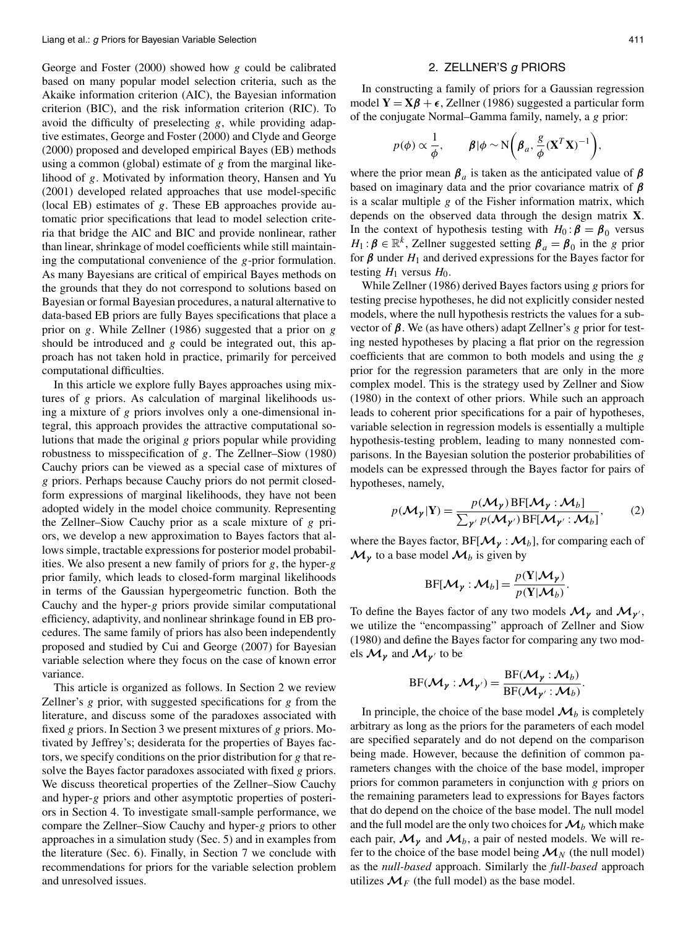George and Foster (2000) showed how *g* could be calibrated based on many popular model selection criteria, such as the Akaike information criterion (AIC), the Bayesian information criterion (BIC), and the risk information criterion (RIC). To avoid the difficulty of preselecting *g*, while providing adaptive estimates, George and Foster (2000) and Clyde and George (2000) proposed and developed empirical Bayes (EB) methods using a common (global) estimate of *g* from the marginal likelihood of *g*. Motivated by information theory, Hansen and Yu (2001) developed related approaches that use model-specific (local EB) estimates of *g*. These EB approaches provide automatic prior specifications that lead to model selection criteria that bridge the AIC and BIC and provide nonlinear, rather than linear, shrinkage of model coefficients while still maintaining the computational convenience of the *g*-prior formulation. As many Bayesians are critical of empirical Bayes methods on the grounds that they do not correspond to solutions based on Bayesian or formal Bayesian procedures, a natural alternative to data-based EB priors are fully Bayes specifications that place a prior on *g*. While Zellner (1986) suggested that a prior on *g* should be introduced and *g* could be integrated out, this approach has not taken hold in practice, primarily for perceived computational difficulties.

In this article we explore fully Bayes approaches using mixtures of *g* priors. As calculation of marginal likelihoods using a mixture of *g* priors involves only a one-dimensional integral, this approach provides the attractive computational solutions that made the original *g* priors popular while providing robustness to misspecification of *g*. The Zellner–Siow (1980) Cauchy priors can be viewed as a special case of mixtures of *g* priors. Perhaps because Cauchy priors do not permit closedform expressions of marginal likelihoods, they have not been adopted widely in the model choice community. Representing the Zellner–Siow Cauchy prior as a scale mixture of *g* priors, we develop a new approximation to Bayes factors that allows simple, tractable expressions for posterior model probabilities. We also present a new family of priors for *g*, the hyper-*g* prior family, which leads to closed-form marginal likelihoods in terms of the Gaussian hypergeometric function. Both the Cauchy and the hyper-*g* priors provide similar computational efficiency, adaptivity, and nonlinear shrinkage found in EB procedures. The same family of priors has also been independently proposed and studied by Cui and George (2007) for Bayesian variable selection where they focus on the case of known error variance.

This article is organized as follows. In Section 2 we review Zellner's *g* prior, with suggested specifications for *g* from the literature, and discuss some of the paradoxes associated with fixed *g* priors. In Section 3 we present mixtures of *g* priors. Motivated by Jeffrey's; desiderata for the properties of Bayes factors, we specify conditions on the prior distribution for *g* that resolve the Bayes factor paradoxes associated with fixed *g* priors. We discuss theoretical properties of the Zellner–Siow Cauchy and hyper-*g* priors and other asymptotic properties of posteriors in Section 4. To investigate small-sample performance, we compare the Zellner–Siow Cauchy and hyper-*g* priors to other approaches in a simulation study (Sec. 5) and in examples from the literature (Sec. 6). Finally, in Section 7 we conclude with recommendations for priors for the variable selection problem and unresolved issues.

## 2. ZELLNER'S g PRIORS

In constructing a family of priors for a Gaussian regression model  $Y = X\beta + \epsilon$ , Zellner (1986) suggested a particular form of the conjugate Normal–Gamma family, namely, a *g* prior:

$$
p(\phi) \propto \frac{1}{\phi}, \qquad \beta | \phi \sim N\bigg(\beta_a, \frac{g}{\phi} (\mathbf{X}^T \mathbf{X})^{-1}\bigg),
$$

where the prior mean  $\beta_a$  is taken as the anticipated value of  $\beta$ based on imaginary data and the prior covariance matrix of *β* is a scalar multiple *g* of the Fisher information matrix, which depends on the observed data through the design matrix **X**. In the context of hypothesis testing with  $H_0: \beta = \beta_0$  versus *H*<sub>1</sub> :  $\beta \in \mathbb{R}^k$ , Zellner suggested setting  $\beta_a = \beta_0$  in the *g* prior for  $\beta$  under  $H_1$  and derived expressions for the Bayes factor for testing  $H_1$  versus  $H_0$ .

While Zellner (1986) derived Bayes factors using *g* priors for testing precise hypotheses, he did not explicitly consider nested models, where the null hypothesis restricts the values for a subvector of *β*. We (as have others) adapt Zellner's *g* prior for testing nested hypotheses by placing a flat prior on the regression coefficients that are common to both models and using the *g* prior for the regression parameters that are only in the more complex model. This is the strategy used by Zellner and Siow (1980) in the context of other priors. While such an approach leads to coherent prior specifications for a pair of hypotheses, variable selection in regression models is essentially a multiple hypothesis-testing problem, leading to many nonnested comparisons. In the Bayesian solution the posterior probabilities of models can be expressed through the Bayes factor for pairs of hypotheses, namely,

$$
p(M_{\gamma}|\mathbf{Y}) = \frac{p(M_{\gamma})\operatorname{BF}[\mathcal{M}_{\gamma}:\mathcal{M}_{b}]}{\sum_{\gamma'} p(\mathcal{M}_{\gamma'})\operatorname{BF}[\mathcal{M}_{\gamma'}:\mathcal{M}_{b}]},\qquad(2)
$$

where the Bayes factor,  $BF[\mathcal{M}_{\gamma} : \mathcal{M}_{b}]$ , for comparing each of  $\mathcal{M}_{\nu}$  to a base model  $\mathcal{M}_{b}$  is given by

$$
BF[\mathcal{M}_{\gamma} : \mathcal{M}_b] = \frac{p(Y|\mathcal{M}_{\gamma})}{p(Y|\mathcal{M}_b)}.
$$

To define the Bayes factor of any two models  $\mathcal{M}_{\gamma}$  and  $\mathcal{M}_{\gamma'}$ , we utilize the "encompassing" approach of Zellner and Siow (1980) and define the Bayes factor for comparing any two models  $\mathcal{M}_{\gamma}$  and  $\mathcal{M}_{\gamma'}$  to be

$$
BF(\mathcal{M}_{\gamma}: \mathcal{M}_{\gamma'}) = \frac{BF(\mathcal{M}_{\gamma}: \mathcal{M}_b)}{BF(\mathcal{M}_{\gamma'}: \mathcal{M}_b)}
$$

*.*

In principle, the choice of the base model  $\mathcal{M}_b$  is completely arbitrary as long as the priors for the parameters of each model are specified separately and do not depend on the comparison being made. However, because the definition of common parameters changes with the choice of the base model, improper priors for common parameters in conjunction with *g* priors on the remaining parameters lead to expressions for Bayes factors that do depend on the choice of the base model. The null model and the full model are the only two choices for  $\mathcal{M}_b$  which make each pair,  $\mathcal{M}_{\gamma}$  and  $\mathcal{M}_{b}$ , a pair of nested models. We will refer to the choice of the base model being  $\mathcal{M}_N$  (the null model) as the *null-based* approach. Similarly the *full-based* approach utilizes  $\mathcal{M}_F$  (the full model) as the base model.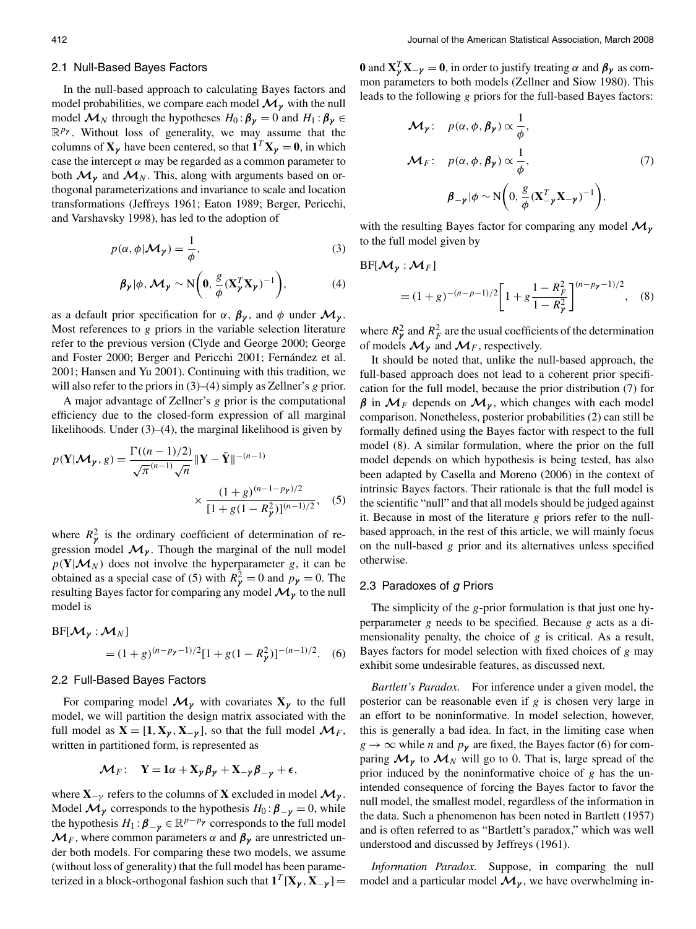### 2.1 Null-Based Bayes Factors

In the null-based approach to calculating Bayes factors and model probabilities, we compare each model  $\mathcal{M}_{\nu}$  with the null model  $\mathcal{M}_N$  through the hypotheses  $H_0: \beta_{\gamma} = 0$  and  $H_1: \beta_{\gamma} \in$ R*p<sup>γ</sup>* . Without loss of generality, we may assume that the columns of  $X_\gamma$  have been centered, so that  $\mathbf{1}^T X_\gamma = \mathbf{0}$ , in which case the intercept  $\alpha$  may be regarded as a common parameter to both  $\mathcal{M}_{\gamma}$  and  $\mathcal{M}_{N}$ . This, along with arguments based on orthogonal parameterizations and invariance to scale and location transformations (Jeffreys 1961; Eaton 1989; Berger, Pericchi, and Varshavsky 1998), has led to the adoption of

$$
p(\alpha, \phi | \mathcal{M}_{\gamma}) = \frac{1}{\phi},
$$
\n(3)

$$
\beta_{\gamma}|\phi, \mathcal{M}_{\gamma} \sim \mathcal{N}\bigg(0, \frac{g}{\phi}(\mathbf{X}_{\gamma}^{T}\mathbf{X}_{\gamma})^{-1}\bigg), \tag{4}
$$

as a default prior specification for  $\alpha$ ,  $\beta_{\gamma}$ , and  $\phi$  under  $\mathcal{M}_{\gamma}$ . Most references to *g* priors in the variable selection literature refer to the previous version (Clyde and George 2000; George and Foster 2000; Berger and Pericchi 2001; Fernández et al. 2001; Hansen and Yu 2001). Continuing with this tradition, we will also refer to the priors in (3)–(4) simply as Zellner's *g* prior.

A major advantage of Zellner's *g* prior is the computational efficiency due to the closed-form expression of all marginal likelihoods. Under (3)–(4), the marginal likelihood is given by

$$
p(\mathbf{Y}|\mathcal{M}_{\gamma}, g) = \frac{\Gamma((n-1)/2)}{\sqrt{\pi}^{(n-1)}\sqrt{n}} \|\mathbf{Y} - \bar{\mathbf{Y}}\|^{-(n-1)} \times \frac{(1+g)^{(n-1-p_{\gamma})/2}}{[1+g(1-R_{\gamma}^{2})]^{(n-1)/2}}, \quad (5)
$$

where  $R_p^2$  is the ordinary coefficient of determination of regression model  $\mathcal{M}_{\gamma}$ . Though the marginal of the null model  $p(Y|\mathcal{M}_N)$  does not involve the hyperparameter *g*, it can be obtained as a special case of (5) with  $R_{\gamma}^2 = 0$  and  $p_{\gamma} = 0$ . The resulting Bayes factor for comparing any model*Mγ* to the null model is

$$
BF[\mathcal{M}_{\gamma} : \mathcal{M}_{N}]
$$
  
=  $(1+g)^{(n-p_{\gamma}-1)/2}[1+g(1-R_{\gamma}^{2})]^{-(n-1)/2}$ . (6)

### 2.2 Full-Based Bayes Factors

For comparing model  $\mathcal{M}_{\gamma}$  with covariates  $X_{\gamma}$  to the full model, we will partition the design matrix associated with the full model as  $\mathbf{X} = [\mathbf{1}, \mathbf{X}_{\gamma}, \mathbf{X}_{-\gamma}]$ , so that the full model  $\mathcal{M}_F$ , written in partitioned form, is represented as

$$
\mathcal{M}_F: \quad \mathbf{Y} = \mathbf{1}\alpha + \mathbf{X}_{\gamma} \boldsymbol{\beta}_{\gamma} + \mathbf{X}_{-\gamma} \boldsymbol{\beta}_{-\gamma} + \boldsymbol{\epsilon},
$$

where  $X_{-\gamma}$  refers to the columns of X excluded in model  $\mathcal{M}_{\gamma}$ . Model  $\mathcal{M}_{\gamma}$  corresponds to the hypothesis  $H_0: \beta_{-\gamma} = 0$ , while the hypothesis  $H_1: \beta_{-\gamma} \in \mathbb{R}^{p-p_{\gamma}}$  corresponds to the full model  $\mathcal{M}_F$ , where common parameters  $\alpha$  and  $\beta_{\gamma}$  are unrestricted under both models. For comparing these two models, we assume (without loss of generality) that the full model has been parameterized in a block-orthogonal fashion such that  $\mathbf{1}^T [\mathbf{X}_{\gamma}, \mathbf{X}_{-\gamma}] =$ 

**0** and  $\mathbf{X}_{\gamma}^{T} \mathbf{X}_{-\gamma} = \mathbf{0}$ , in order to justify treating  $\alpha$  and  $\beta_{\gamma}$  as common parameters to both models (Zellner and Siow 1980). This leads to the following *g* priors for the full-based Bayes factors:

$$
\mathcal{M}_{\gamma}: \quad p(\alpha, \phi, \beta_{\gamma}) \propto \frac{1}{\phi},
$$
\n
$$
\mathcal{M}_{F}: \quad p(\alpha, \phi, \beta_{\gamma}) \propto \frac{1}{\phi}, \quad (7)
$$
\n
$$
\beta_{-\gamma} | \phi \sim \mathcal{N}\left(0, \frac{g}{\phi} (\mathbf{X}_{-\gamma}^{T} \mathbf{X}_{-\gamma})^{-1}\right),
$$

with the resulting Bayes factor for comparing any model *Mγ* to the full model given by

$$
BF[\mathcal{M}_{\gamma} : \mathcal{M}_{F}]
$$
  
=  $(1+g)^{-(n-p-1)/2} \left[1+g\frac{1-R_{F}^{2}}{1-R_{\gamma}^{2}}\right]^{(n-p_{\gamma}-1)/2},$  (8)

where  $R_p^2$  and  $R_F^2$  are the usual coefficients of the determination of models  $\mathcal{M}_{\gamma}$  and  $\mathcal{M}_{F}$ , respectively.

It should be noted that, unlike the null-based approach, the full-based approach does not lead to a coherent prior specification for the full model, because the prior distribution (7) for  $β$  in  $M<sub>F</sub>$  depends on  $M<sub>γ</sub>$ , which changes with each model comparison. Nonetheless, posterior probabilities (2) can still be formally defined using the Bayes factor with respect to the full model (8). A similar formulation, where the prior on the full model depends on which hypothesis is being tested, has also been adapted by Casella and Moreno (2006) in the context of intrinsic Bayes factors. Their rationale is that the full model is the scientific "null" and that all models should be judged against it. Because in most of the literature *g* priors refer to the nullbased approach, in the rest of this article, we will mainly focus on the null-based *g* prior and its alternatives unless specified otherwise.

### 2.3 Paradoxes of g Priors

The simplicity of the *g*-prior formulation is that just one hyperparameter *g* needs to be specified. Because *g* acts as a dimensionality penalty, the choice of *g* is critical. As a result, Bayes factors for model selection with fixed choices of *g* may exhibit some undesirable features, as discussed next.

*Bartlett's Paradox.* For inference under a given model, the posterior can be reasonable even if *g* is chosen very large in an effort to be noninformative. In model selection, however, this is generally a bad idea. In fact, in the limiting case when  $g \to \infty$  while *n* and  $p_{\gamma}$  are fixed, the Bayes factor (6) for comparing  $\mathcal{M}_{\gamma}$  to  $\mathcal{M}_{N}$  will go to 0. That is, large spread of the prior induced by the noninformative choice of *g* has the unintended consequence of forcing the Bayes factor to favor the null model, the smallest model, regardless of the information in the data. Such a phenomenon has been noted in Bartlett (1957) and is often referred to as "Bartlett's paradox," which was well understood and discussed by Jeffreys (1961).

*Information Paradox.* Suppose, in comparing the null model and a particular model  $\mathcal{M}_{\gamma}$ , we have overwhelming in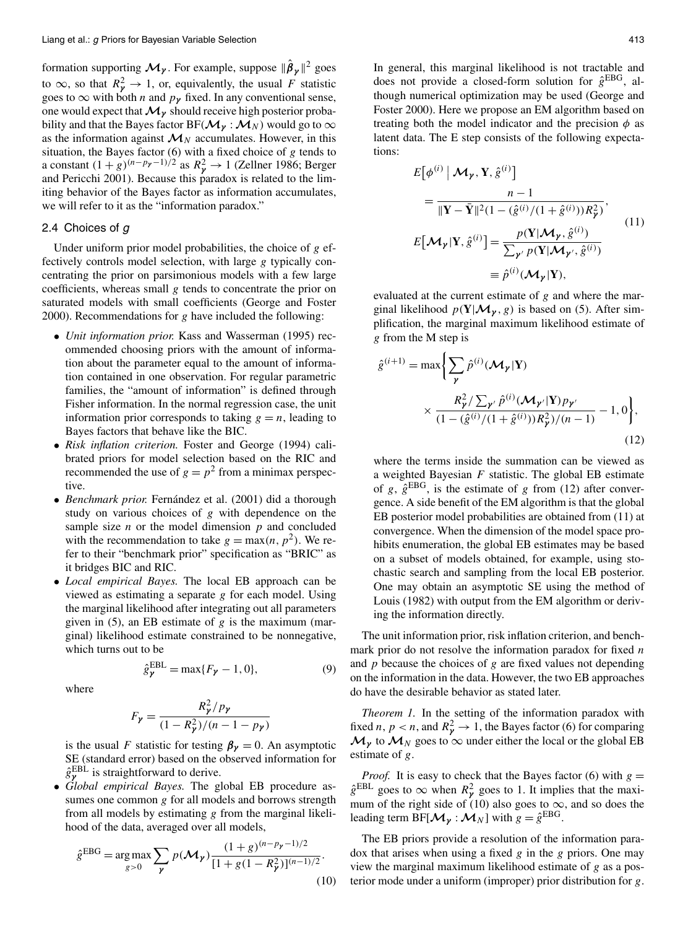formation supporting  $\mathcal{M}_{\gamma}$ . For example, suppose  $\|\hat{\boldsymbol{\beta}}_{\gamma}\|^2$  goes to  $\infty$ , so that  $R_{\gamma}^2 \to 1$ , or, equivalently, the usual *F* statistic goes to  $\infty$  with both *n* and  $p_{\gamma}$  fixed. In any conventional sense, one would expect that  $\mathcal{M}_{\gamma}$  should receive high posterior probability and that the Bayes factor  $BF(\mathcal{M}_{\gamma} : \mathcal{M}_{N})$  would go to  $\infty$ as the information against  $\mathcal{M}_N$  accumulates. However, in this situation, the Bayes factor (6) with a fixed choice of *g* tends to a constant  $(1+g)^{(n-p_{\gamma}-1)/2}$  as  $R_{\gamma}^2 \rightarrow 1$  (Zellner 1986; Berger and Pericchi 2001). Because this paradox is related to the limiting behavior of the Bayes factor as information accumulates, we will refer to it as the "information paradox."

## 2.4 Choices of g

Under uniform prior model probabilities, the choice of *g* effectively controls model selection, with large *g* typically concentrating the prior on parsimonious models with a few large coefficients, whereas small *g* tends to concentrate the prior on saturated models with small coefficients (George and Foster 2000). Recommendations for *g* have included the following:

- *Unit information prior.* Kass and Wasserman (1995) recommended choosing priors with the amount of information about the parameter equal to the amount of information contained in one observation. For regular parametric families, the "amount of information" is defined through Fisher information. In the normal regression case, the unit information prior corresponds to taking  $g = n$ , leading to Bayes factors that behave like the BIC.
- *Risk inflation criterion.* Foster and George (1994) calibrated priors for model selection based on the RIC and recommended the use of  $g = p^2$  from a minimax perspective.
- *Benchmark prior.* Fernández et al. (2001) did a thorough study on various choices of *g* with dependence on the sample size  $n$  or the model dimension  $p$  and concluded with the recommendation to take  $g = \max(n, p^2)$ . We refer to their "benchmark prior" specification as "BRIC" as it bridges BIC and RIC.
- *Local empirical Bayes.* The local EB approach can be viewed as estimating a separate *g* for each model. Using the marginal likelihood after integrating out all parameters given in (5), an EB estimate of *g* is the maximum (marginal) likelihood estimate constrained to be nonnegative, which turns out to be

$$
\hat{g}_{\gamma}^{\text{EBL}} = \max\{F_{\gamma} - 1, 0\},\tag{9}
$$

where

$$
F_{\gamma} = \frac{R_{\gamma}^{2}/p_{\gamma}}{(1 - R_{\gamma}^{2})/(n - 1 - p_{\gamma})}
$$

is the usual *F* statistic for testing  $\beta_{\gamma} = 0$ . An asymptotic SE (standard error) based on the observed information for  $\hat{g}_{\gamma}^{\text{EBL}}$  is straightforward to derive.

• *Global empirical Bayes.* The global EB procedure assumes one common *g* for all models and borrows strength from all models by estimating *g* from the marginal likelihood of the data, averaged over all models,

$$
\hat{g}^{EBG} = \underset{g>0}{\arg\max} \sum_{\mathbf{y}} p(\mathbf{\mathcal{M}}_{\mathbf{y}}) \frac{(1+g)^{(n-p_{\mathbf{y}}-1)/2}}{[1+g(1-R_{\mathbf{y}}^2)]^{(n-1)/2}}.
$$
\n(10)

In general, this marginal likelihood is not tractable and does not provide a closed-form solution for  $\hat{g}^{EBG}$ , although numerical optimization may be used (George and Foster 2000). Here we propose an EM algorithm based on treating both the model indicator and the precision  $\phi$  as latent data. The E step consists of the following expectations:

$$
E[\phi^{(i)} | \mathcal{M}_{\gamma}, Y, \hat{g}^{(i)}]
$$
  
\n
$$
= \frac{n-1}{\|\mathbf{Y} - \bar{\mathbf{Y}}\|^2 (1 - (\hat{g}^{(i)} / (1 + \hat{g}^{(i)})) R_{\gamma}^2)},
$$
  
\n
$$
E[\mathcal{M}_{\gamma} | Y, \hat{g}^{(i)}] = \frac{p(Y | \mathcal{M}_{\gamma}, \hat{g}^{(i)})}{\sum_{\gamma'} p(Y | \mathcal{M}_{\gamma'}, \hat{g}^{(i)})}
$$
  
\n
$$
= \hat{p}^{(i)} (\mathcal{M}_{\gamma} | Y),
$$
\n(11)

evaluated at the current estimate of *g* and where the marginal likelihood  $p(Y|\mathcal{M}_y, g)$  is based on (5). After simplification, the marginal maximum likelihood estimate of *g* from the M step is

$$
\hat{g}^{(i+1)} = \max \left\{ \sum_{\mathbf{y}} \hat{p}^{(i)}(\mathcal{M}_{\mathbf{y}} | \mathbf{Y}) \times \frac{R_{\mathbf{y}}^2 / \sum_{\mathbf{y}'} \hat{p}^{(i)}(\mathcal{M}_{\mathbf{y}'} | \mathbf{Y}) p_{\mathbf{y}'}}{(1 - (\hat{g}^{(i)} / (1 + \hat{g}^{(i)})) R_{\mathbf{y}}^2) / (n - 1)} - 1, 0 \right\},\tag{12}
$$

where the terms inside the summation can be viewed as a weighted Bayesian  $F$  statistic. The global EB estimate of *g*,  $\hat{g}^{EBG}$ , is the estimate of *g* from (12) after convergence. A side benefit of the EM algorithm is that the global EB posterior model probabilities are obtained from (11) at convergence. When the dimension of the model space prohibits enumeration, the global EB estimates may be based on a subset of models obtained, for example, using stochastic search and sampling from the local EB posterior. One may obtain an asymptotic SE using the method of Louis (1982) with output from the EM algorithm or deriving the information directly.

The unit information prior, risk inflation criterion, and benchmark prior do not resolve the information paradox for fixed *n* and *p* because the choices of *g* are fixed values not depending on the information in the data. However, the two EB approaches do have the desirable behavior as stated later.

*Theorem 1.* In the setting of the information paradox with fixed *n*,  $p < n$ , and  $R_p^2 \rightarrow 1$ , the Bayes factor (6) for comparing  $M_{\gamma}$  to  $M_{N}$  goes to  $\infty$  under either the local or the global EB estimate of *g*.

*Proof.* It is easy to check that the Bayes factor (6) with  $g =$  $\hat{g}^{EBL}$  goes to  $\infty$  when  $R_{\gamma}^2$  goes to 1. It implies that the maximum of the right side of (10) also goes to  $\infty$ , and so does the leading term BF[ $\mathcal{M}_{\gamma}$  :  $\mathcal{M}_{N}$ ] with  $g = \hat{g}^{EBG}$ .

The EB priors provide a resolution of the information paradox that arises when using a fixed *g* in the *g* priors. One may view the marginal maximum likelihood estimate of *g* as a posterior mode under a uniform (improper) prior distribution for *g*.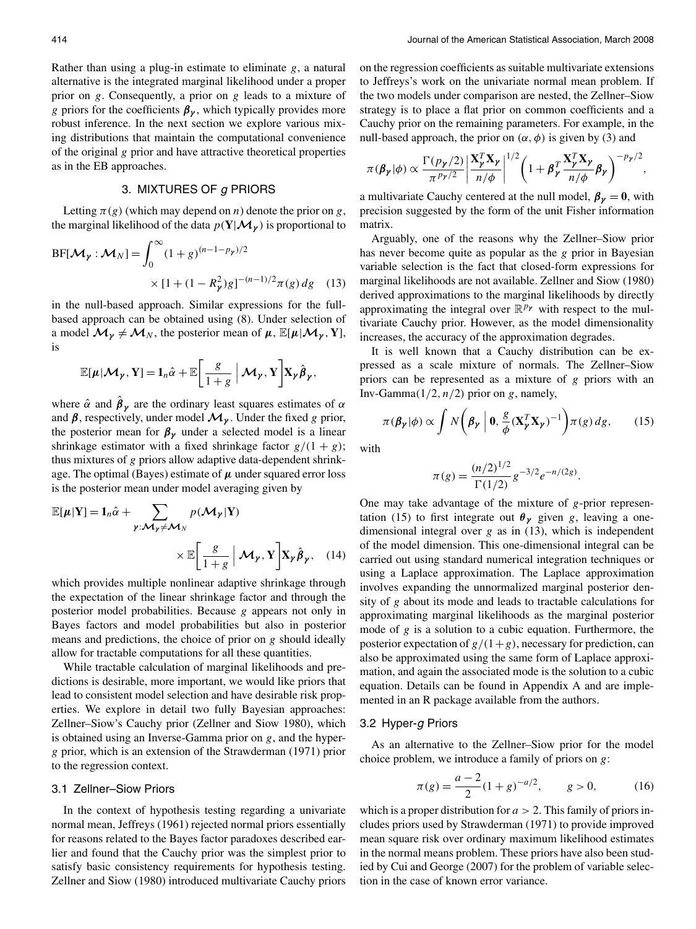Rather than using a plug-in estimate to eliminate *g*, a natural alternative is the integrated marginal likelihood under a proper prior on *g*. Consequently, a prior on *g* leads to a mixture of *g* priors for the coefficients  $\beta_{\gamma}$ , which typically provides more robust inference. In the next section we explore various mixing distributions that maintain the computational convenience of the original *g* prior and have attractive theoretical properties as in the EB approaches.

# 3. MIXTURES OF g PRIORS

Letting  $\pi(g)$  (which may depend on *n*) denote the prior on *g*, the marginal likelihood of the data  $p(Y|\mathcal{M}_{\gamma})$  is proportional to

$$
BF[\mathcal{M}_{\gamma} : \mathcal{M}_{N}] = \int_{0}^{\infty} (1+g)^{(n-1-p_{\gamma})/2}
$$

$$
\times [1 + (1 - R_{\gamma}^{2})g]^{-(n-1)/2} \pi(g) dg \quad (13)
$$

in the null-based approach. Similar expressions for the fullbased approach can be obtained using (8). Under selection of a model  $\mathcal{M}_{\gamma} \neq \mathcal{M}_{N}$ , the posterior mean of  $\mu$ ,  $\mathbb{E}[\mu | \mathcal{M}_{\gamma}, Y]$ , is

$$
\mathbb{E}[\boldsymbol{\mu}|\mathcal{M}_{\boldsymbol{\gamma}},\mathbf{Y}]\mathbf{=}\mathbf{1}_n\hat{\alpha}+\mathbb{E}\bigg[\frac{g}{1+g}\big|\mathcal{M}_{\boldsymbol{\gamma}},\mathbf{Y}\bigg]\mathbf{X}_{\boldsymbol{\gamma}}\hat{\boldsymbol{\beta}}_{\boldsymbol{\gamma}},
$$

where  $\hat{\alpha}$  and  $\hat{\beta}_{\gamma}$  are the ordinary least squares estimates of  $\alpha$ and  $\beta$ , respectively, under model  $\mathcal{M}_{\gamma}$ . Under the fixed *g* prior, the posterior mean for  $\beta_{\gamma}$  under a selected model is a linear shrinkage estimator with a fixed shrinkage factor  $g/(1 + g)$ ; thus mixtures of *g* priors allow adaptive data-dependent shrinkage. The optimal (Bayes) estimate of *μ* under squared error loss is the posterior mean under model averaging given by

$$
\mathbb{E}[\boldsymbol{\mu}|\mathbf{Y}] = \mathbf{1}_n \hat{\alpha} + \sum_{\boldsymbol{\gamma}: \boldsymbol{\mathcal{M}}_{\boldsymbol{\gamma}} \neq \boldsymbol{\mathcal{M}}_N} p(\boldsymbol{\mathcal{M}}_{\boldsymbol{\gamma}}|\mathbf{Y}) \times \mathbb{E}\bigg[\frac{g}{1+g} \bigg| \boldsymbol{\mathcal{M}}_{\boldsymbol{\gamma}}, \mathbf{Y} \bigg] \mathbf{X}_{\boldsymbol{\gamma}} \hat{\boldsymbol{\beta}}_{\boldsymbol{\gamma}}, \quad (14)
$$

which provides multiple nonlinear adaptive shrinkage through the expectation of the linear shrinkage factor and through the posterior model probabilities. Because *g* appears not only in Bayes factors and model probabilities but also in posterior means and predictions, the choice of prior on *g* should ideally allow for tractable computations for all these quantities.

While tractable calculation of marginal likelihoods and predictions is desirable, more important, we would like priors that lead to consistent model selection and have desirable risk properties. We explore in detail two fully Bayesian approaches: Zellner–Siow's Cauchy prior (Zellner and Siow 1980), which is obtained using an Inverse-Gamma prior on *g*, and the hyper*g* prior, which is an extension of the Strawderman (1971) prior to the regression context.

### 3.1 Zellner–Siow Priors

In the context of hypothesis testing regarding a univariate normal mean, Jeffreys (1961) rejected normal priors essentially for reasons related to the Bayes factor paradoxes described earlier and found that the Cauchy prior was the simplest prior to satisfy basic consistency requirements for hypothesis testing. Zellner and Siow (1980) introduced multivariate Cauchy priors on the regression coefficients as suitable multivariate extensions to Jeffreys's work on the univariate normal mean problem. If the two models under comparison are nested, the Zellner–Siow strategy is to place a flat prior on common coefficients and a Cauchy prior on the remaining parameters. For example, in the null-based approach, the prior on  $(α, φ)$  is given by (3) and

$$
\pi(\boldsymbol{\beta}_{\boldsymbol{\gamma}}|\boldsymbol{\phi}) \propto \frac{\Gamma(p_{\boldsymbol{\gamma}}/2)}{\pi^{p_{\boldsymbol{\gamma}}/2}} \left| \frac{\mathbf{X}_{\boldsymbol{\gamma}}^T \mathbf{X}_{\boldsymbol{\gamma}}}{n/\phi} \right|^{1/2} \left( 1 + \boldsymbol{\beta}_{\boldsymbol{\gamma}}^T \frac{\mathbf{X}_{\boldsymbol{\gamma}}^T \mathbf{X}_{\boldsymbol{\gamma}}}{n/\phi} \boldsymbol{\beta}_{\boldsymbol{\gamma}} \right)^{-p_{\boldsymbol{\gamma}}/2},
$$

a multivariate Cauchy centered at the null model,  $\beta_{\gamma} = 0$ , with precision suggested by the form of the unit Fisher information matrix.

Arguably, one of the reasons why the Zellner–Siow prior has never become quite as popular as the *g* prior in Bayesian variable selection is the fact that closed-form expressions for marginal likelihoods are not available. Zellner and Siow (1980) derived approximations to the marginal likelihoods by directly approximating the integral over R*p<sup>γ</sup>* with respect to the multivariate Cauchy prior. However, as the model dimensionality increases, the accuracy of the approximation degrades.

It is well known that a Cauchy distribution can be expressed as a scale mixture of normals. The Zellner–Siow priors can be represented as a mixture of *g* priors with an Inv-Gamma $(1/2, n/2)$  prior on *g*, namely,

$$
\pi(\boldsymbol{\beta}_{\boldsymbol{\gamma}}|\boldsymbol{\phi}) \propto \int N\bigg(\boldsymbol{\beta}_{\boldsymbol{\gamma}}\bigg| \, \boldsymbol{0}, \frac{\boldsymbol{g}}{\boldsymbol{\phi}} (\mathbf{X}_{\boldsymbol{\gamma}}^T \mathbf{X}_{\boldsymbol{\gamma}})^{-1} \bigg) \pi(\boldsymbol{g}) \, d\boldsymbol{g},\qquad(15)
$$

with

$$
\pi(g) = \frac{(n/2)^{1/2}}{\Gamma(1/2)} g^{-3/2} e^{-n/(2g)}.
$$

One may take advantage of the mixture of *g*-prior representation (15) to first integrate out  $\theta_{\gamma}$  given *g*, leaving a onedimensional integral over *g* as in (13), which is independent of the model dimension. This one-dimensional integral can be carried out using standard numerical integration techniques or using a Laplace approximation. The Laplace approximation involves expanding the unnormalized marginal posterior density of *g* about its mode and leads to tractable calculations for approximating marginal likelihoods as the marginal posterior mode of *g* is a solution to a cubic equation. Furthermore, the posterior expectation of  $g/(1+g)$ , necessary for prediction, can also be approximated using the same form of Laplace approximation, and again the associated mode is the solution to a cubic equation. Details can be found in Appendix A and are implemented in an R package available from the authors.

### 3.2 Hyper-g Priors

As an alternative to the Zellner–Siow prior for the model choice problem, we introduce a family of priors on *g*:

$$
\pi(g) = \frac{a-2}{2}(1+g)^{-a/2}, \qquad g > 0,
$$
 (16)

which is a proper distribution for *a >* 2. This family of priors includes priors used by Strawderman (1971) to provide improved mean square risk over ordinary maximum likelihood estimates in the normal means problem. These priors have also been studied by Cui and George (2007) for the problem of variable selection in the case of known error variance.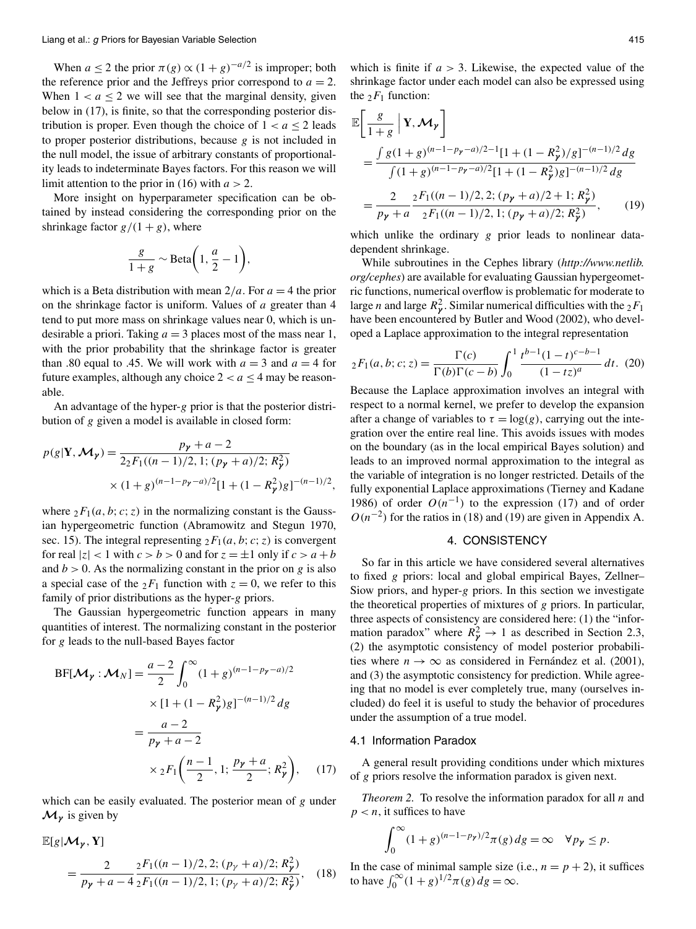When *a*  $\leq$  2 the prior  $\pi(g) \propto (1+g)^{-a/2}$  is improper; both the reference prior and the Jeffreys prior correspond to  $a = 2$ . When  $1 < a \leq 2$  we will see that the marginal density, given below in (17), is finite, so that the corresponding posterior distribution is proper. Even though the choice of  $1 < a \leq 2$  leads to proper posterior distributions, because *g* is not included in the null model, the issue of arbitrary constants of proportionality leads to indeterminate Bayes factors. For this reason we will limit attention to the prior in (16) with *a >* 2.

More insight on hyperparameter specification can be obtained by instead considering the corresponding prior on the shrinkage factor  $g/(1 + g)$ , where

$$
\frac{g}{1+g} \sim \text{Beta}\bigg(1, \frac{a}{2} - 1\bigg),
$$

which is a Beta distribution with mean  $2/a$ . For  $a = 4$  the prior on the shrinkage factor is uniform. Values of *a* greater than 4 tend to put more mass on shrinkage values near 0, which is undesirable a priori. Taking  $a = 3$  places most of the mass near 1, with the prior probability that the shrinkage factor is greater than .80 equal to .45. We will work with  $a = 3$  and  $a = 4$  for future examples, although any choice  $2 < a \leq 4$  may be reasonable.

An advantage of the hyper-*g* prior is that the posterior distribution of *g* given a model is available in closed form:

$$
p(g|\mathbf{Y}, \mathcal{M}_{\gamma}) = \frac{p_{\gamma} + a - 2}{2_2 F_1((n-1)/2, 1; (p_{\gamma} + a)/2; R_{\gamma}^2)}
$$

$$
\times (1 + g)^{(n-1-p_{\gamma} - a)/2} [1 + (1 - R_{\gamma}^2) g]^{-(n-1)/2},
$$

where  ${}_2F_1(a, b; c; z)$  in the normalizing constant is the Gaussian hypergeometric function (Abramowitz and Stegun 1970, sec. 15). The integral representing  ${}_2F_1(a, b; c; z)$  is convergent for real  $|z| < 1$  with  $c > b > 0$  and for  $z = \pm 1$  only if  $c > a + b$ and  $b > 0$ . As the normalizing constant in the prior on *g* is also a special case of the  ${}_2F_1$  function with  $z = 0$ , we refer to this family of prior distributions as the hyper-*g* priors.

The Gaussian hypergeometric function appears in many quantities of interest. The normalizing constant in the posterior for *g* leads to the null-based Bayes factor

$$
BF[\mathcal{M}_{\gamma} : \mathcal{M}_{N}] = \frac{a-2}{2} \int_{0}^{\infty} (1+g)^{(n-1-p_{\gamma}-a)/2}
$$
  
× [1 + (1 - R<sub>\gamma</sub><sup>2</sup>)g]<sup>-(n-1)/2</sup> dg  
=  $\frac{a-2}{p_{\gamma}+a-2}$   
×  ${}_{2}F_{1} \left( \frac{n-1}{2}, 1; \frac{p_{\gamma}+a}{2}; R_{\gamma}^{2} \right),$  (17)

which can be easily evaluated. The posterior mean of *g* under  $\mathcal{M}_{\gamma}$  is given by

$$
\mathbb{E}[g|\mathcal{M}_{\gamma}, \mathbf{Y}]
$$
\n
$$
= \frac{2}{p_{\gamma} + a - 4} \frac{{}_2 F_1((n-1)/2, 2; (p_{\gamma} + a)/2; R_{\gamma}^2)}{{}_2 F_1((n-1)/2, 1; (p_{\gamma} + a)/2; R_{\gamma}^2)},
$$
\n(18)

which is finite if *a >* 3. Likewise, the expected value of the shrinkage factor under each model can also be expressed using the  $_2F_1$  function:

$$
\mathbb{E}\left[\frac{g}{1+g}\Big|\mathbf{Y},\mathcal{M}_{\gamma}\right]
$$
\n
$$
=\frac{\int g(1+g)^{(n-1-p_{\gamma}-a)/2-1}[1+(1-R_{\gamma}^{2})/g]^{-(n-1)/2}dg}{\int (1+g)^{(n-1-p_{\gamma}-a)/2}[1+(1-R_{\gamma}^{2})g]^{-(n-1)/2}dg}
$$
\n
$$
=\frac{2}{p_{\gamma}+a}\frac{{}_2F_1((n-1)/2,2;(p_{\gamma}+a)/2+1;R_{\gamma}^{2})}{{}_2F_1((n-1)/2,1;(p_{\gamma}+a)/2;R_{\gamma}^{2})},\qquad(19)
$$

which unlike the ordinary *g* prior leads to nonlinear datadependent shrinkage.

While subroutines in the Cephes library (*http://www.netlib. org/cephes*) are available for evaluating Gaussian hypergeometric functions, numerical overflow is problematic for moderate to large *n* and large  $R_p^2$ . Similar numerical difficulties with the  $_2F_1$ have been encountered by Butler and Wood (2002), who developed a Laplace approximation to the integral representation

$$
{}_2F_1(a,b;c;z) = \frac{\Gamma(c)}{\Gamma(b)\Gamma(c-b)} \int_0^1 \frac{t^{b-1}(1-t)^{c-b-1}}{(1-tz)^a} dt. \tag{20}
$$

Because the Laplace approximation involves an integral with respect to a normal kernel, we prefer to develop the expansion after a change of variables to  $\tau = \log(g)$ , carrying out the integration over the entire real line. This avoids issues with modes on the boundary (as in the local empirical Bayes solution) and leads to an improved normal approximation to the integral as the variable of integration is no longer restricted. Details of the fully exponential Laplace approximations (Tierney and Kadane 1986) of order  $O(n^{-1})$  to the expression (17) and of order  $O(n^{-2})$  for the ratios in (18) and (19) are given in Appendix A.

# 4. CONSISTENCY

So far in this article we have considered several alternatives to fixed *g* priors: local and global empirical Bayes, Zellner– Siow priors, and hyper-*g* priors. In this section we investigate the theoretical properties of mixtures of *g* priors. In particular, three aspects of consistency are considered here: (1) the "information paradox" where  $R_{\gamma}^2 \rightarrow 1$  as described in Section 2.3, (2) the asymptotic consistency of model posterior probabilities where  $n \to \infty$  as considered in Fernández et al. (2001), and (3) the asymptotic consistency for prediction. While agreeing that no model is ever completely true, many (ourselves included) do feel it is useful to study the behavior of procedures under the assumption of a true model.

### 4.1 Information Paradox

A general result providing conditions under which mixtures of *g* priors resolve the information paradox is given next.

*Theorem 2.* To resolve the information paradox for all *n* and  $p < n$ , it suffices to have

$$
\int_0^\infty (1+g)^{(n-1-p_\gamma)/2} \pi(g) \, dg = \infty \quad \forall p_\gamma \le p.
$$

In the case of minimal sample size (i.e.,  $n = p + 2$ ), it suffices to have  $\int_0^{\infty} (1+g)^{1/2} \pi(g) dg = \infty$ .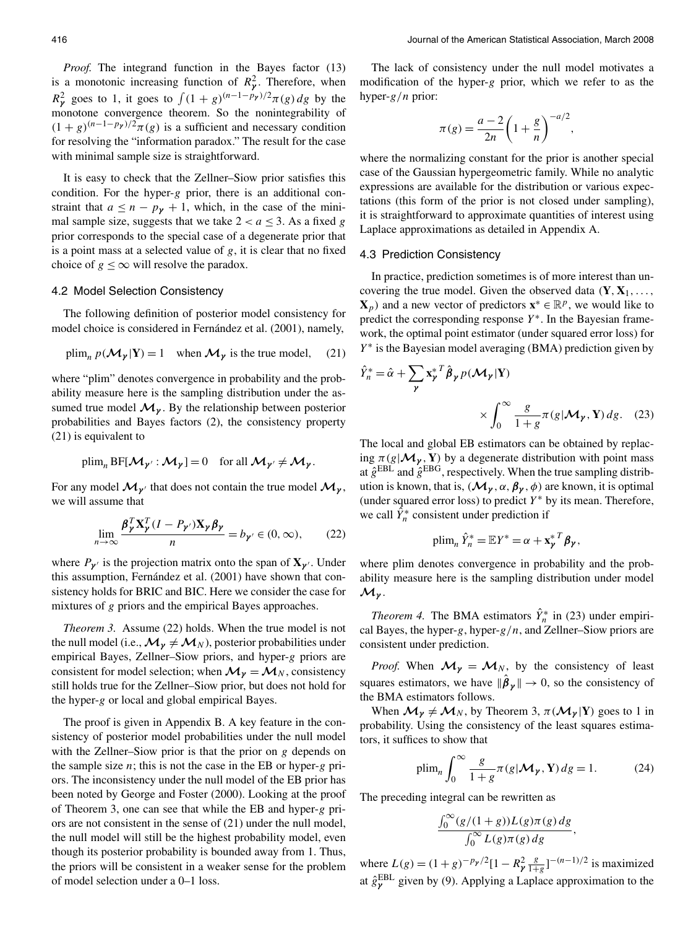*,*

*Proof.* The integrand function in the Bayes factor (13) is a monotonic increasing function of  $R_p^2$ . Therefore, when  $R_{\gamma}^2$  goes to 1, it goes to  $\int (1+g)^{(n-1-p_{\gamma})/2} \pi(g) dg$  by the monotone convergence theorem. So the nonintegrability of  $(1 + g)^{(n-1-p_{\gamma})/2} \pi(g)$  is a sufficient and necessary condition for resolving the "information paradox." The result for the case with minimal sample size is straightforward.

It is easy to check that the Zellner–Siow prior satisfies this condition. For the hyper-*g* prior, there is an additional constraint that  $a \leq n - p_{\gamma} + 1$ , which, in the case of the minimal sample size, suggests that we take  $2 < a \leq 3$ . As a fixed *g* prior corresponds to the special case of a degenerate prior that is a point mass at a selected value of *g*, it is clear that no fixed choice of  $g \leq \infty$  will resolve the paradox.

### 4.2 Model Selection Consistency

The following definition of posterior model consistency for model choice is considered in Fernández et al. (2001), namely,

$$
\text{plim}_n p(\mathcal{M}_{\gamma} | \mathbf{Y}) = 1 \quad \text{when } \mathcal{M}_{\gamma} \text{ is the true model,} \quad (21)
$$

where "plim" denotes convergence in probability and the probability measure here is the sampling distribution under the assumed true model  $\mathcal{M}_{\nu}$ . By the relationship between posterior probabilities and Bayes factors (2), the consistency property (21) is equivalent to

$$
\text{plim}_{n} \text{BF}[\mathcal{M}_{\gamma'} : \mathcal{M}_{\gamma}] = 0 \quad \text{for all } \mathcal{M}_{\gamma'} \neq \mathcal{M}_{\gamma}.
$$

For any model  $\mathcal{M}_{\gamma'}$  that does not contain the true model  $\mathcal{M}_{\gamma}$ , we will assume that

$$
\lim_{n \to \infty} \frac{\beta_{\gamma}^{T} \mathbf{X}_{\gamma}^{T} (I - P_{\gamma'}) \mathbf{X}_{\gamma} \beta_{\gamma}}{n} = b_{\gamma'} \in (0, \infty), \qquad (22)
$$

where  $P_{\gamma}$  is the projection matrix onto the span of  $\mathbf{X}_{\gamma}$ . Under this assumption, Fernández et al. (2001) have shown that consistency holds for BRIC and BIC. Here we consider the case for mixtures of *g* priors and the empirical Bayes approaches.

*Theorem 3.* Assume (22) holds. When the true model is not the null model (i.e.,  $\mathcal{M}_{\gamma} \neq \mathcal{M}_{N}$ ), posterior probabilities under empirical Bayes, Zellner–Siow priors, and hyper-*g* priors are consistent for model selection; when  $\mathcal{M}_{\gamma} = \mathcal{M}_N$ , consistency still holds true for the Zellner–Siow prior, but does not hold for the hyper-*g* or local and global empirical Bayes.

The proof is given in Appendix B. A key feature in the consistency of posterior model probabilities under the null model with the Zellner–Siow prior is that the prior on *g* depends on the sample size *n*; this is not the case in the EB or hyper-*g* priors. The inconsistency under the null model of the EB prior has been noted by George and Foster (2000). Looking at the proof of Theorem 3, one can see that while the EB and hyper-*g* priors are not consistent in the sense of (21) under the null model, the null model will still be the highest probability model, even though its posterior probability is bounded away from 1. Thus, the priors will be consistent in a weaker sense for the problem of model selection under a 0–1 loss.

The lack of consistency under the null model motivates a modification of the hyper-*g* prior, which we refer to as the hyper-*g/n* prior:

$$
\pi(g) = \frac{a-2}{2n} \left( 1 + \frac{g}{n} \right)^{-a/2}
$$

where the normalizing constant for the prior is another special case of the Gaussian hypergeometric family. While no analytic expressions are available for the distribution or various expectations (this form of the prior is not closed under sampling), it is straightforward to approximate quantities of interest using Laplace approximations as detailed in Appendix A.

# 4.3 Prediction Consistency

In practice, prediction sometimes is of more interest than uncovering the true model. Given the observed data  $(Y, X_1, \ldots, X_n)$  $\mathbf{X}_p$ ) and a new vector of predictors  $\mathbf{x}^* \in \mathbb{R}^p$ , we would like to predict the corresponding response *Y*∗. In the Bayesian framework, the optimal point estimator (under squared error loss) for *Y*<sup>∗</sup> is the Bayesian model averaging (BMA) prediction given by

$$
\hat{Y}_n^* = \hat{\alpha} + \sum_{\gamma} \mathbf{x}_{\gamma}^{*T} \hat{\boldsymbol{\beta}}_{\gamma} p(\mathcal{M}_{\gamma} | \mathbf{Y})
$$

$$
\times \int_0^{\infty} \frac{g}{1+g} \pi(g|\mathcal{M}_{\gamma}, \mathbf{Y}) dg. \quad (23)
$$

The local and global EB estimators can be obtained by replacing  $\pi(g|\mathcal{M}_\gamma, \mathbf{Y})$  by a degenerate distribution with point mass at  $\hat{g}^{EBL}$  and  $\hat{g}^{EBG}$ , respectively. When the true sampling distribution is known, that is,  $(\mathcal{M}_{\gamma}, \alpha, \beta_{\gamma}, \phi)$  are known, it is optimal (under squared error loss) to predict *Y*<sup>∗</sup> by its mean. Therefore, we call  $\hat{Y}_n^*$  consistent under prediction if

$$
\text{plim}_n \,\hat{Y}_n^* = \mathbb{E}Y^* = \alpha + \mathbf{x}_{\gamma}^{*T} \boldsymbol{\beta}_{\gamma},
$$

where plim denotes convergence in probability and the probability measure here is the sampling distribution under model *Mγ* .

*Theorem 4.* The BMA estimators  $\hat{Y}_n^*$  in (23) under empirical Bayes, the hyper-*g*, hyper-*g/n*, and Zellner–Siow priors are consistent under prediction.

*Proof.* When  $\mathcal{M}_{\gamma} = \mathcal{M}_{N}$ , by the consistency of least squares estimators, we have  $\|\hat{\boldsymbol{\beta}}_{\boldsymbol{\gamma}}\| \to 0$ , so the consistency of the BMA estimators follows.

When  $\mathcal{M}_{\gamma} \neq \mathcal{M}_{N}$ , by Theorem 3,  $\pi(\mathcal{M}_{\gamma} | Y)$  goes to 1 in probability. Using the consistency of the least squares estimators, it suffices to show that

$$
\text{plim}_n \int_0^\infty \frac{g}{1+g} \pi(g|\mathcal{M}_\mathcal{V}, \mathbf{Y}) \, dg = 1. \tag{24}
$$

The preceding integral can be rewritten as

$$
\frac{\int_0^\infty (g/(1+g))L(g)\pi(g)dg}{\int_0^\infty L(g)\pi(g)dg},
$$

where  $L(g) = (1+g)^{-p_y/2}[1-R_y^2 \frac{g}{1+g}]^{-(n-1)/2}$  is maximized at  $\hat{g}_{\gamma}^{\text{EBL}}$  given by (9). Applying a Laplace approximation to the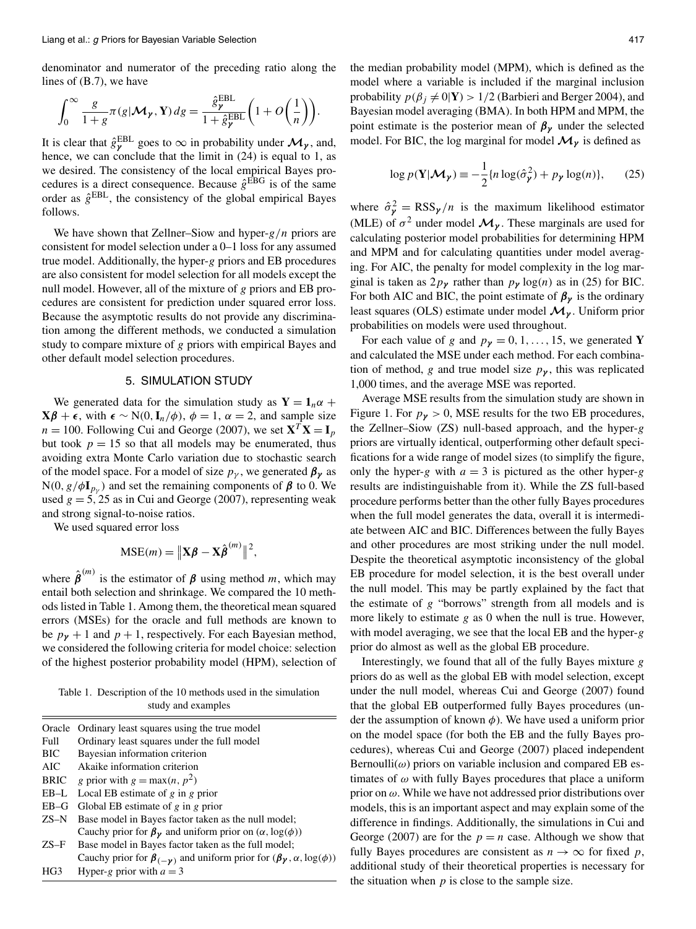denominator and numerator of the preceding ratio along the lines of (B.7), we have

$$
\int_0^\infty \frac{g}{1+g} \pi(g|\mathcal{M}_\gamma, \mathbf{Y}) \, dg = \frac{\hat{g}_\gamma^{\text{EBL}}}{1+\hat{g}_\gamma^{\text{EBL}}} \bigg(1+O\bigg(\frac{1}{n}\bigg)\bigg).
$$

It is clear that  $\hat{g}_{\gamma}^{\text{EBL}}$  goes to  $\infty$  in probability under  $\mathcal{M}_{\gamma}$ , and, hence, we can conclude that the limit in  $(24)$  is equal to 1, as we desired. The consistency of the local empirical Bayes procedures is a direct consequence. Because  $\hat{g}^{EBG}$  is of the same order as  $\hat{g}^{EBL}$ , the consistency of the global empirical Bayes follows.

We have shown that Zellner–Siow and hyper-*g/n* priors are consistent for model selection under a 0–1 loss for any assumed true model. Additionally, the hyper-*g* priors and EB procedures are also consistent for model selection for all models except the null model. However, all of the mixture of *g* priors and EB procedures are consistent for prediction under squared error loss. Because the asymptotic results do not provide any discrimination among the different methods, we conducted a simulation study to compare mixture of *g* priors with empirical Bayes and other default model selection procedures.

# 5. SIMULATION STUDY

We generated data for the simulation study as  $Y = 1_n \alpha +$  $X\beta$  +  $\epsilon$ , with  $\epsilon$  ∼ N(0*,***I**<sub>*n*</sub>/ $\phi$ )*,*  $\phi$  = 1*, α* = 2*,* and sample size  $n = 100$ . Following Cui and George (2007), we set  $X^T X = I_p$ but took  $p = 15$  so that all models may be enumerated, thus avoiding extra Monte Carlo variation due to stochastic search of the model space. For a model of size  $p_{\gamma}$ , we generated  $\beta_{\gamma}$  as  $N(0, g/\phi I_{p_y})$  and set the remaining components of  $\beta$  to 0. We used  $g = 5$ , 25 as in Cui and George (2007), representing weak and strong signal-to-noise ratios.

We used squared error loss

$$
MSE(m) = ||\mathbf{X}\boldsymbol{\beta} - \mathbf{X}\hat{\boldsymbol{\beta}}^{(m)}||^2,
$$

where  $\hat{\beta}^{(m)}$  is the estimator of  $\beta$  using method *m*, which may entail both selection and shrinkage. We compared the 10 methods listed in Table 1. Among them, the theoretical mean squared errors (MSEs) for the oracle and full methods are known to be  $p_{\gamma}$  + 1 and  $p$  + 1, respectively. For each Bayesian method, we considered the following criteria for model choice: selection of the highest posterior probability model (HPM), selection of

Table 1. Description of the 10 methods used in the simulation study and examples

| Oracle      | Ordinary least squares using the true model                                                       |
|-------------|---------------------------------------------------------------------------------------------------|
| Full        | Ordinary least squares under the full model                                                       |
| <b>BIC</b>  | Bayesian information criterion                                                                    |
| AIC         | Akaike information criterion                                                                      |
| <b>BRIC</b> | g prior with $g = max(n, p^2)$                                                                    |
| $EB-L$      | Local EB estimate of $g$ in $g$ prior                                                             |
| $EB-G$      | Global EB estimate of $g$ in $g$ prior                                                            |
|             | ZS-N Base model in Bayes factor taken as the null model;                                          |
|             | Cauchy prior for $\beta_{\gamma}$ and uniform prior on $(\alpha, \log(\phi))$                     |
| $ZS-F$      | Base model in Bayes factor taken as the full model;                                               |
|             | Cauchy prior for $\beta_{(-\gamma)}$ and uniform prior for $(\beta_{\gamma}, \alpha, \log(\phi))$ |
| HG3         | Hyper-g prior with $a = 3$                                                                        |

the median probability model (MPM), which is defined as the model where a variable is included if the marginal inclusion probability  $p(\beta_j \neq 0|\mathbf{Y}) > 1/2$  (Barbieri and Berger 2004), and Bayesian model averaging (BMA). In both HPM and MPM, the point estimate is the posterior mean of  $\beta_{\gamma}$  under the selected model. For BIC, the log marginal for model  $\mathcal{M}_{\gamma}$  is defined as

$$
\log p(\mathbf{Y}|\mathcal{M}_{\gamma}) \equiv -\frac{1}{2} \{ n \log(\hat{\sigma}_{\gamma}^{2}) + p_{\gamma} \log(n) \},\qquad(25)
$$

where  $\hat{\sigma}_{\gamma}^2 = \text{RSS}_{\gamma}/n$  is the maximum likelihood estimator (MLE) of  $\sigma^2$  under model  $\mathcal{M}_{\gamma}$ . These marginals are used for calculating posterior model probabilities for determining HPM and MPM and for calculating quantities under model averaging. For AIC, the penalty for model complexity in the log marginal is taken as  $2p_\gamma$  rather than  $p_\gamma \log(n)$  as in (25) for BIC. For both AIC and BIC, the point estimate of  $\beta_{\gamma}$  is the ordinary least squares (OLS) estimate under model *Mγ* . Uniform prior probabilities on models were used throughout.

For each value of *g* and  $p_{\gamma} = 0, 1, \dots, 15$ , we generated **Y** and calculated the MSE under each method. For each combination of method, *g* and true model size  $p<sub>y</sub>$ , this was replicated 1,000 times, and the average MSE was reported.

Average MSE results from the simulation study are shown in Figure 1. For  $p_{\gamma} > 0$ , MSE results for the two EB procedures, the Zellner–Siow (ZS) null-based approach, and the hyper-*g* priors are virtually identical, outperforming other default specifications for a wide range of model sizes (to simplify the figure, only the hyper-*g* with  $a = 3$  is pictured as the other hyper-*g* results are indistinguishable from it). While the ZS full-based procedure performs better than the other fully Bayes procedures when the full model generates the data, overall it is intermediate between AIC and BIC. Differences between the fully Bayes and other procedures are most striking under the null model. Despite the theoretical asymptotic inconsistency of the global EB procedure for model selection, it is the best overall under the null model. This may be partly explained by the fact that the estimate of *g* "borrows" strength from all models and is more likely to estimate *g* as 0 when the null is true. However, with model averaging, we see that the local EB and the hyper-*g* prior do almost as well as the global EB procedure.

Interestingly, we found that all of the fully Bayes mixture *g* priors do as well as the global EB with model selection, except under the null model, whereas Cui and George (2007) found that the global EB outperformed fully Bayes procedures (under the assumption of known *φ*). We have used a uniform prior on the model space (for both the EB and the fully Bayes procedures), whereas Cui and George (2007) placed independent  $Bernoulli(\omega)$  priors on variable inclusion and compared EB estimates of *ω* with fully Bayes procedures that place a uniform prior on *ω*. While we have not addressed prior distributions over models, this is an important aspect and may explain some of the difference in findings. Additionally, the simulations in Cui and George (2007) are for the  $p = n$  case. Although we show that fully Bayes procedures are consistent as  $n \to \infty$  for fixed p, additional study of their theoretical properties is necessary for the situation when  $p$  is close to the sample size.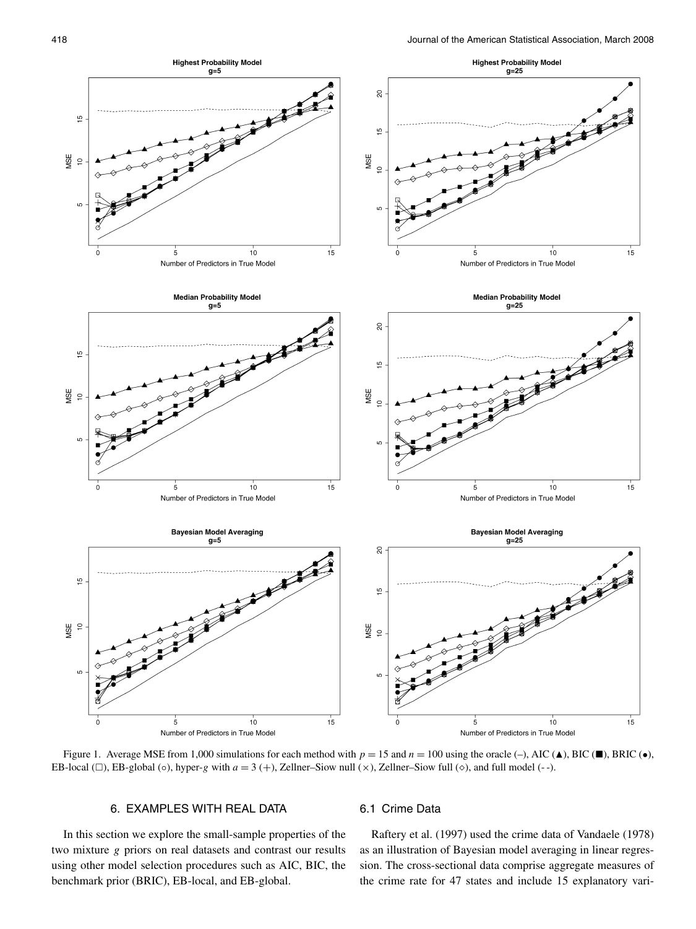

Figure 1. Average MSE from 1,000 simulations for each method with  $p = 15$  and  $n = 100$  using the oracle (-), AIC ( $\blacktriangle$ ), BIC ( $\blacktriangleright$ ), BRIC ( $\blacktriangleright$ ), EB-local  $(\square)$ , EB-global  $(\circ)$ , hyper-*g* with  $a = 3 (+)$ , Zellner–Siow null  $(\times)$ , Zellner–Siow full  $(\circ)$ , and full model  $(-)$ .

# 6. EXAMPLES WITH REAL DATA

In this section we explore the small-sample properties of the two mixture *g* priors on real datasets and contrast our results using other model selection procedures such as AIC, BIC, the benchmark prior (BRIC), EB-local, and EB-global.

# 6.1 Crime Data

Raftery et al. (1997) used the crime data of Vandaele (1978) as an illustration of Bayesian model averaging in linear regression. The cross-sectional data comprise aggregate measures of the crime rate for 47 states and include 15 explanatory vari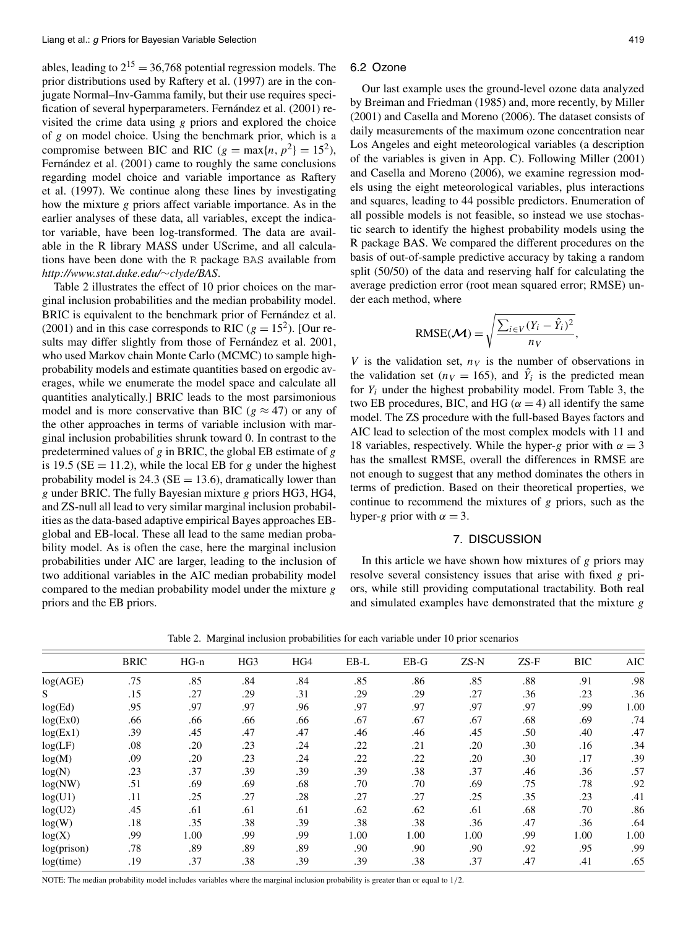ables, leading to  $2^{15} = 36,768$  potential regression models. The prior distributions used by Raftery et al. (1997) are in the conjugate Normal–Inv-Gamma family, but their use requires specification of several hyperparameters. Fernández et al. (2001) revisited the crime data using *g* priors and explored the choice of *g* on model choice. Using the benchmark prior, which is a compromise between BIC and RIC ( $g = max\{n, p^2\} = 15^2$ ), Fernández et al. (2001) came to roughly the same conclusions regarding model choice and variable importance as Raftery et al. (1997). We continue along these lines by investigating how the mixture *g* priors affect variable importance. As in the earlier analyses of these data, all variables, except the indicator variable, have been log-transformed. The data are available in the R library MASS under UScrime, and all calculations have been done with the R package BAS available from *http://www.stat.duke.edu/*∼*clyde/BAS*.

Table 2 illustrates the effect of 10 prior choices on the marginal inclusion probabilities and the median probability model. BRIC is equivalent to the benchmark prior of Fernández et al. (2001) and in this case corresponds to RIC ( $g = 15<sup>2</sup>$ ). [Our results may differ slightly from those of Fernández et al. 2001, who used Markov chain Monte Carlo (MCMC) to sample highprobability models and estimate quantities based on ergodic averages, while we enumerate the model space and calculate all quantities analytically.] BRIC leads to the most parsimonious model and is more conservative than BIC ( $g \approx 47$ ) or any of the other approaches in terms of variable inclusion with marginal inclusion probabilities shrunk toward 0. In contrast to the predetermined values of *g* in BRIC, the global EB estimate of *g* is 19.5 ( $SE = 11.2$ ), while the local EB for *g* under the highest probability model is  $24.3$  ( $SE = 13.6$ ), dramatically lower than *g* under BRIC. The fully Bayesian mixture *g* priors HG3, HG4, and ZS-null all lead to very similar marginal inclusion probabilities as the data-based adaptive empirical Bayes approaches EBglobal and EB-local. These all lead to the same median probability model. As is often the case, here the marginal inclusion probabilities under AIC are larger, leading to the inclusion of two additional variables in the AIC median probability model compared to the median probability model under the mixture *g* priors and the EB priors.

#### 6.2 Ozone

Our last example uses the ground-level ozone data analyzed by Breiman and Friedman (1985) and, more recently, by Miller (2001) and Casella and Moreno (2006). The dataset consists of daily measurements of the maximum ozone concentration near Los Angeles and eight meteorological variables (a description of the variables is given in App. C). Following Miller (2001) and Casella and Moreno (2006), we examine regression models using the eight meteorological variables, plus interactions and squares, leading to 44 possible predictors. Enumeration of all possible models is not feasible, so instead we use stochastic search to identify the highest probability models using the R package BAS. We compared the different procedures on the basis of out-of-sample predictive accuracy by taking a random split (50/50) of the data and reserving half for calculating the average prediction error (root mean squared error; RMSE) under each method, where

RMSE(
$$
\mathbf{M}
$$
) =  $\sqrt{\frac{\sum_{i \in V} (Y_i - \hat{Y}_i)^2}{n_V}}$ 

*,*

*V* is the validation set,  $n_V$  is the number of observations in the validation set ( $n_V = 165$ ), and  $\hat{Y}_i$  is the predicted mean for *Yi* under the highest probability model. From Table 3, the two EB procedures, BIC, and HG ( $\alpha = 4$ ) all identify the same model. The ZS procedure with the full-based Bayes factors and AIC lead to selection of the most complex models with 11 and 18 variables, respectively. While the hyper-*g* prior with  $\alpha = 3$ has the smallest RMSE, overall the differences in RMSE are not enough to suggest that any method dominates the others in terms of prediction. Based on their theoretical properties, we continue to recommend the mixtures of *g* priors, such as the hyper-*g* prior with  $\alpha = 3$ .

### 7. DISCUSSION

In this article we have shown how mixtures of *g* priors may resolve several consistency issues that arise with fixed *g* priors, while still providing computational tractability. Both real and simulated examples have demonstrated that the mixture *g*

Table 2. Marginal inclusion probabilities for each variable under 10 prior scenarios

|             | <b>BRIC</b> | $HG-n$ | HG <sub>3</sub> | HG4 | EB-L | $EB-G$ | ZS-N | $ZS-F$ | <b>BIC</b> | <b>AIC</b> |
|-------------|-------------|--------|-----------------|-----|------|--------|------|--------|------------|------------|
| log(AGE)    | .75         | .85    | .84             | .84 | .85  | .86    | .85  | .88    | .91        | .98        |
| S           | .15         | .27    | .29             | .31 | .29  | .29    | .27  | .36    | .23        | .36        |
| log(Ed)     | .95         | .97    | .97             | .96 | .97  | .97    | .97  | .97    | .99        | 1.00       |
| log(Ex0)    | .66         | .66    | .66             | .66 | .67  | .67    | .67  | .68    | .69        | .74        |
| log(Ex1)    | .39         | .45    | .47             | .47 | .46  | .46    | .45  | .50    | .40        | .47        |
| log(LF)     | .08         | .20    | .23             | .24 | .22  | .21    | .20  | .30    | .16        | .34        |
| log(M)      | .09         | .20    | .23             | .24 | .22  | .22    | .20  | .30    | .17        | .39        |
| log(N)      | .23         | .37    | .39             | .39 | .39  | .38    | .37  | .46    | .36        | .57        |
| log(NW)     | .51         | .69    | .69             | .68 | .70  | .70    | .69  | .75    | .78        | .92        |
| log(U1)     | .11         | .25    | .27             | .28 | .27  | .27    | .25  | .35    | .23        | .41        |
| log(U2)     | .45         | .61    | .61             | .61 | .62  | .62    | .61  | .68    | .70        | .86        |
| log(W)      | .18         | .35    | .38             | .39 | .38  | .38    | .36  | .47    | .36        | .64        |
| log(X)      | .99         | 1.00   | .99             | .99 | 1.00 | 1.00   | 1.00 | .99    | 1.00       | 1.00       |
| log(prison) | .78         | .89    | .89             | .89 | .90  | .90    | .90  | .92    | .95        | .99        |
| log(time)   | .19         | .37    | .38             | .39 | .39  | .38    | .37  | .47    | .41        | .65        |

NOTE: The median probability model includes variables where the marginal inclusion probability is greater than or equal to 1*/*2.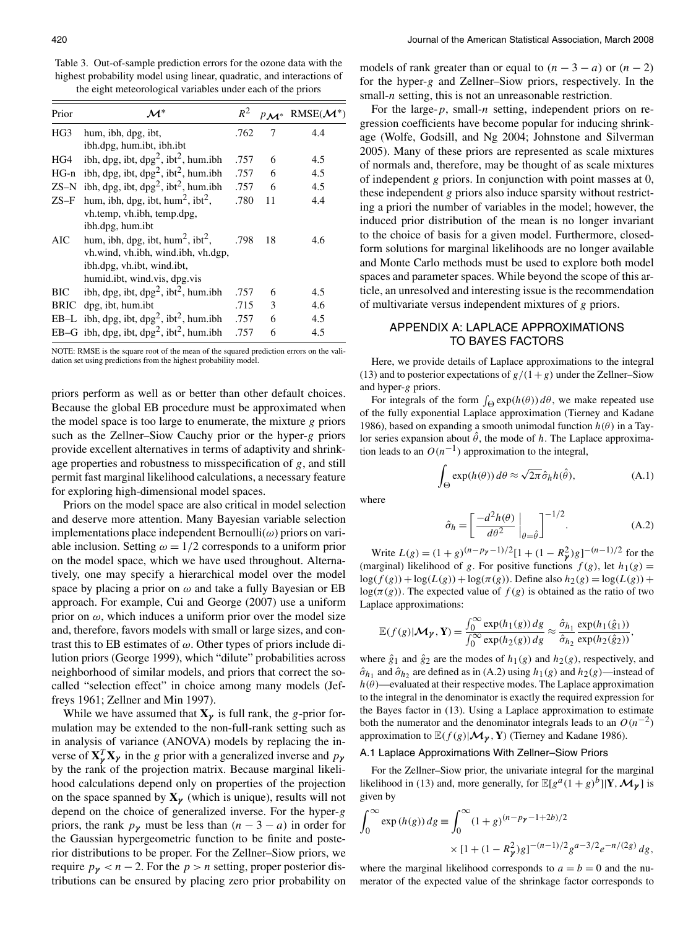Table 3. Out-of-sample prediction errors for the ozone data with the highest probability model using linear, quadratic, and interactions of the eight meteorological variables under each of the priors

| Prior      | $\mathcal{M}^*$                                              | $R^2$ |    | $RMSE(\mathcal{M}^*)$ |
|------------|--------------------------------------------------------------|-------|----|-----------------------|
| HG3        | hum, ibh, dpg, ibt,                                          | .762  | 7  | 4.4                   |
|            | ibh.dpg, hum.ibt, ibh.ibt                                    |       |    |                       |
| HG4        | ibh, dpg, ibt, dpg <sup>2</sup> , ibt <sup>2</sup> , hum.ibh | .757  | 6  | 4.5                   |
| $HG-n$     | ibh, dpg, ibt, dpg <sup>2</sup> , ibt <sup>2</sup> , hum.ibh | .757  | 6  | 4.5                   |
| $ZS-N$     | ibh, dpg, ibt, dpg <sup>2</sup> , ibt <sup>2</sup> , hum.ibh | .757  | 6  | 4.5                   |
| $ZS-F$     | hum, ibh, dpg, ibt, hum <sup>2</sup> , ibt <sup>2</sup> ,    | .780  | 11 | 4.4                   |
|            | vh.temp, vh.ibh, temp.dpg,                                   |       |    |                       |
|            | ibh.dpg, hum.ibt                                             |       |    |                       |
| AIC        | hum, ibh, dpg, ibt, hum <sup>2</sup> , ibt <sup>2</sup> ,    | .798  | 18 | 4.6                   |
|            | vh.wind, vh.ibh, wind.ibh, vh.dgp,                           |       |    |                       |
|            | ibh.dpg, vh.ibt, wind.ibt,                                   |       |    |                       |
|            | humid.ibt, wind.vis, dpg.vis                                 |       |    |                       |
| <b>BIC</b> | ibh, dpg, ibt, dpg <sup>2</sup> , ibt <sup>2</sup> , hum.ibh | .757  | 6  | 4.5                   |
| BRIC       | dpg, ibt, hum.ibt                                            | .715  | 3  | 4.6                   |
| $EB-L$     | ibh, dpg, ibt, dpg <sup>2</sup> , ibt <sup>2</sup> , hum.ibh | .757  | 6  | 4.5                   |
| $EB-G$     | ibh, dpg, ibt, dpg <sup>2</sup> , ibt <sup>2</sup> , hum.ibh | .757  | 6  | 4.5                   |

NOTE: RMSE is the square root of the mean of the squared prediction errors on the validation set using predictions from the highest probability model.

priors perform as well as or better than other default choices. Because the global EB procedure must be approximated when the model space is too large to enumerate, the mixture *g* priors such as the Zellner–Siow Cauchy prior or the hyper-*g* priors provide excellent alternatives in terms of adaptivity and shrinkage properties and robustness to misspecification of *g*, and still permit fast marginal likelihood calculations, a necessary feature for exploring high-dimensional model spaces.

Priors on the model space are also critical in model selection and deserve more attention. Many Bayesian variable selection implementations place independent Bernoulli(*ω*) priors on variable inclusion. Setting  $\omega = 1/2$  corresponds to a uniform prior on the model space, which we have used throughout. Alternatively, one may specify a hierarchical model over the model space by placing a prior on *ω* and take a fully Bayesian or EB approach. For example, Cui and George (2007) use a uniform prior on  $\omega$ , which induces a uniform prior over the model size and, therefore, favors models with small or large sizes, and contrast this to EB estimates of *ω*. Other types of priors include dilution priors (George 1999), which "dilute" probabilities across neighborhood of similar models, and priors that correct the socalled "selection effect" in choice among many models (Jeffreys 1961; Zellner and Min 1997).

While we have assumed that  $X_{\gamma}$  is full rank, the *g*-prior formulation may be extended to the non-full-rank setting such as in analysis of variance (ANOVA) models by replacing the inverse of  $X^T_{\gamma} X_{\gamma}$  in the *g* prior with a generalized inverse and  $p_{\gamma}$ by the rank of the projection matrix. Because marginal likelihood calculations depend only on properties of the projection on the space spanned by  $X_{\gamma}$  (which is unique), results will not depend on the choice of generalized inverse. For the hyper-*g* priors, the rank  $p_\gamma$  must be less than  $(n-3-a)$  in order for the Gaussian hypergeometric function to be finite and posterior distributions to be proper. For the Zellner–Siow priors, we require  $p<sub>y</sub> < n-2$ . For the  $p > n$  setting, proper posterior distributions can be ensured by placing zero prior probability on models of rank greater than or equal to  $(n-3-a)$  or  $(n-2)$ for the hyper-*g* and Zellner–Siow priors, respectively. In the small-*n* setting, this is not an unreasonable restriction.

For the large-*p*, small-*n* setting, independent priors on regression coefficients have become popular for inducing shrinkage (Wolfe, Godsill, and Ng 2004; Johnstone and Silverman 2005). Many of these priors are represented as scale mixtures of normals and, therefore, may be thought of as scale mixtures of independent *g* priors. In conjunction with point masses at 0, these independent *g* priors also induce sparsity without restricting a priori the number of variables in the model; however, the induced prior distribution of the mean is no longer invariant to the choice of basis for a given model. Furthermore, closedform solutions for marginal likelihoods are no longer available and Monte Carlo methods must be used to explore both model spaces and parameter spaces. While beyond the scope of this article, an unresolved and interesting issue is the recommendation of multivariate versus independent mixtures of *g* priors.

# APPENDIX A: LAPLACE APPROXIMATIONS TO BAYES FACTORS

Here, we provide details of Laplace approximations to the integral (13) and to posterior expectations of  $g/(1+g)$  under the Zellner–Siow and hyper-*g* priors.

For integrals of the form  $\int_{\Theta} \exp(h(\theta)) d\theta$ , we make repeated use of the fully exponential Laplace approximation (Tierney and Kadane 1986), based on expanding a smooth unimodal function *h(θ)* in a Taylor series expansion about  $\hat{\theta}$ , the mode of *h*. The Laplace approximation leads to an  $O(n^{-1})$  approximation to the integral,

$$
\int_{\Theta} \exp(h(\theta)) d\theta \approx \sqrt{2\pi} \hat{\sigma}_h h(\hat{\theta}), \tag{A.1}
$$

where

$$
\hat{\sigma}_h = \left[ \frac{-d^2 h(\theta)}{d\theta^2} \bigg|_{\theta = \hat{\theta}} \right]^{-1/2}.
$$
\n(A.2)

Write  $L(g) = (1+g)^{(n-p_{\gamma}-1)/2}[1+(1-R_{\gamma}^2)g]^{-(n-1)/2}$  for the (marginal) likelihood of *g*. For positive functions  $f(g)$ , let  $h_1(g)$  =  $\log(f(g)) + \log(L(g)) + \log(\pi(g))$ . Define also  $h_2(g) = \log(L(g)) +$  $log(\pi(g))$ . The expected value of  $f(g)$  is obtained as the ratio of two Laplace approximations:

$$
\mathbb{E}(f(g)|\mathcal{M}_{\gamma}, \mathbf{Y}) = \frac{\int_0^{\infty} \exp(h_1(g)) dg}{\int_0^{\infty} \exp(h_2(g)) dg} \approx \frac{\hat{\sigma}_{h_1}}{\hat{\sigma}_{h_2}} \frac{\exp(h_1(\hat{g}_1))}{\exp(h_2(\hat{g}_2))},
$$

where  $\hat{g}_1$  and  $\hat{g}_2$  are the modes of  $h_1(g)$  and  $h_2(g)$ , respectively, and  $\hat{\sigma}_{h_1}$  and  $\hat{\sigma}_{h_2}$  are defined as in (A.2) using  $h_1(g)$  and  $h_2(g)$ —instead of  $h(\theta)$ —evaluated at their respective modes. The Laplace approximation to the integral in the denominator is exactly the required expression for the Bayes factor in (13). Using a Laplace approximation to estimate both the numerator and the denominator integrals leads to an  $O(n^{-2})$ approximation to  $\mathbb{E}(f(g)|\mathcal{M}_{\gamma}, \mathbf{Y})$  (Tierney and Kadane 1986).

### A.1 Laplace Approximations With Zellner–Siow Priors

For the Zellner–Siow prior, the univariate integral for the marginal likelihood in (13) and, more generally, for  $\mathbb{E}[g^a(1+g)^b||\mathbf{Y}, \mathcal{M}_\nu]$  is given by

$$
\int_0^\infty \exp(h(g)) \, dg \equiv \int_0^\infty (1+g)^{(n-p_y-1+2b)/2} \times [1+(1-R_y^2)g]^{-(n-1)/2} g^{a-3/2} e^{-n/(2g)} \, dg,
$$

where the marginal likelihood corresponds to  $a = b = 0$  and the numerator of the expected value of the shrinkage factor corresponds to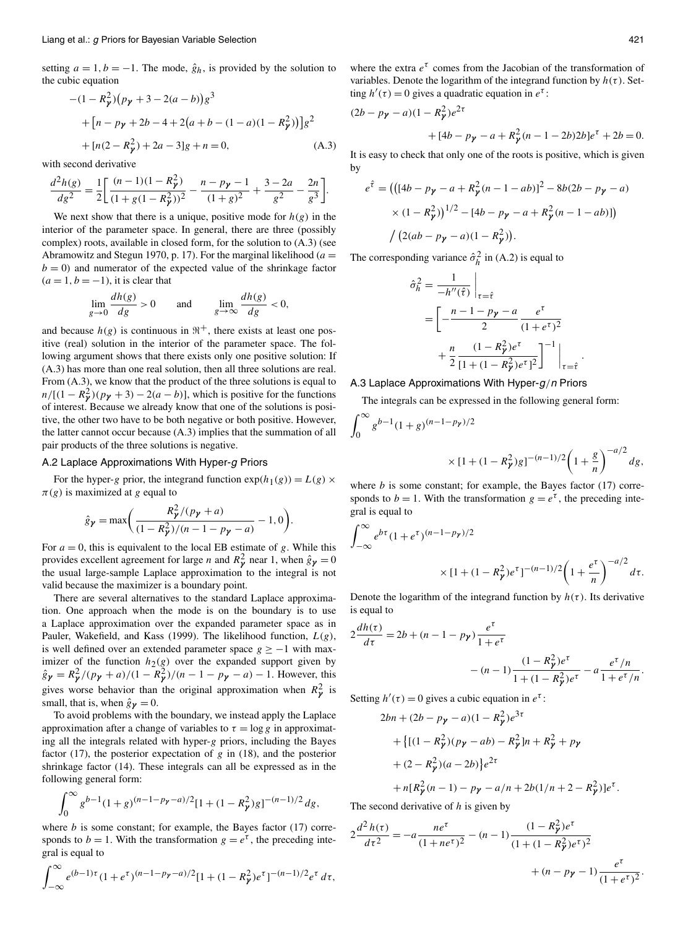setting  $a = 1, b = -1$ . The mode,  $\hat{g}_h$ , is provided by the solution to the cubic equation

$$
-(1 - R_{\gamma}^{2})(p_{\gamma} + 3 - 2(a - b))g^{3}
$$
  
+ 
$$
[n - p_{\gamma} + 2b - 4 + 2(a + b - (1 - a)(1 - R_{\gamma}^{2}))]g^{2}
$$
  
+ 
$$
[n(2 - R_{\gamma}^{2}) + 2a - 3]g + n = 0,
$$
 (A.3)

with second derivative

$$
\frac{d^2h(g)}{dg^2} = \frac{1}{2} \bigg[ \frac{(n-1)(1-R_y^2)}{(1+g(1-R_y^2))^2} - \frac{n-p_y-1}{(1+g)^2} + \frac{3-2a}{g^2} - \frac{2n}{g^3} \bigg].
$$

We next show that there is a unique, positive mode for  $h(g)$  in the interior of the parameter space. In general, there are three (possibly complex) roots, available in closed form, for the solution to (A.3) (see Abramowitz and Stegun 1970, p. 17). For the marginal likelihood (*a* =  $b = 0$ ) and numerator of the expected value of the shrinkage factor  $(a=1, b=-1)$ , it is clear that

$$
\lim_{g \to 0} \frac{dh(g)}{dg} > 0 \quad \text{and} \quad \lim_{g \to \infty} \frac{dh(g)}{dg} < 0,
$$

and because  $h(g)$  is continuous in  $\mathbb{R}^+$ , there exists at least one positive (real) solution in the interior of the parameter space. The following argument shows that there exists only one positive solution: If (A.3) has more than one real solution, then all three solutions are real. From (A.3), we know that the product of the three solutions is equal to  $n/[(1 - R^2)/(p^2 + 3) - 2(a - b)]$ , which is positive for the functions of interest. Because we already know that one of the solutions is positive, the other two have to be both negative or both positive. However, the latter cannot occur because (A.3) implies that the summation of all pair products of the three solutions is negative.

### A.2 Laplace Approximations With Hyper-g Priors

For the hyper-*g* prior, the integrand function  $exp(h_1(g)) = L(g) \times$  $\pi(g)$  is maximized at *g* equal to

$$
\hat{g}_{\gamma} = \max\bigg(\frac{R_{\gamma}^2/(p_{\gamma} + a)}{(1 - R_{\gamma}^2)/(n - 1 - p_{\gamma} - a)} - 1, 0\bigg).
$$

For  $a = 0$ , this is equivalent to the local EB estimate of  $g$ . While this provides excellent agreement for large *n* and  $R_{\gamma}^2$  near 1, when  $\hat{g}_{\gamma} = 0$ the usual large-sample Laplace approximation to the integral is not valid because the maximizer is a boundary point.

There are several alternatives to the standard Laplace approximation. One approach when the mode is on the boundary is to use a Laplace approximation over the expanded parameter space as in Pauler, Wakefield, and Kass (1999). The likelihood function, *L(g)*, is well defined over an extended parameter space  $g \ge -1$  with maximizer of the function  $h_2(g)$  over the expanded support given by  $\hat{g}_{\gamma} = R_{\gamma}^{2}/(p_{\gamma} + a)/(1 - R_{\gamma}^{2})/(n - 1 - p_{\gamma} - a) - 1$ . However, this gives worse behavior than the original approximation when  $R^2$  is small, that is, when  $\hat{g}_{\gamma} = 0$ .

To avoid problems with the boundary, we instead apply the Laplace approximation after a change of variables to  $\tau = \log g$  in approximating all the integrals related with hyper-*g* priors, including the Bayes factor (17), the posterior expectation of *g* in (18), and the posterior shrinkage factor (14). These integrals can all be expressed as in the following general form:

$$
\int_0^\infty g^{b-1} (1+g)^{(n-1-p_\gamma-a)/2} [1+(1-R_\gamma^2)g]^{-(n-1)/2} dg,
$$

where  $b$  is some constant; for example, the Bayes factor  $(17)$  corresponds to  $b = 1$ . With the transformation  $g = e^{\tau}$ , the preceding integral is equal to

$$
\int_{-\infty}^{\infty} e^{(b-1)\tau} (1+e^{\tau})^{(n-1-p_{\gamma}-a)/2} [1+(1-R_{\gamma}^{2})e^{\tau}]^{-(n-1)/2} e^{\tau} d\tau,
$$

<sup>∞</sup>

where the extra  $e^{\tau}$  comes from the Jacobian of the transformation of variables. Denote the logarithm of the integrand function by  $h(\tau)$ . Setting  $h'(\tau) = 0$  gives a quadratic equation in  $e^{\tau}$ :

$$
(2b - p_{\gamma} - a)(1 - R_{\gamma}^{2})e^{2\tau}
$$
  
+ 
$$
[4b - p_{\gamma} - a + R_{\gamma}^{2}(n - 1 - 2b)2b]e^{\tau} + 2b = 0.
$$

It is easy to check that only one of the roots is positive, which is given by

$$
e^{\hat{\tau}} = (([4b - p_{\gamma} - a + R_{\gamma}^{2}(n - 1 - ab)]^{2} - 8b(2b - p_{\gamma} - a)
$$

$$
\times (1 - R_{\gamma}^{2}))^{1/2} - [4b - p_{\gamma} - a + R_{\gamma}^{2}(n - 1 - ab)]
$$

$$
/(2(ab - p_{\gamma} - a)(1 - R_{\gamma}^{2})).
$$

The corresponding variance  $\hat{\sigma}_h^2$  in (A.2) is equal to

$$
\hat{\sigma}_h^2 = \frac{1}{-h''(\hat{\tau})} \Big|_{\tau = \hat{\tau}}
$$

$$
= \left[ -\frac{n - 1 - p\mathbf{y} - a}{2} \frac{e^{\tau}}{(1 + e^{\tau})^2} + \frac{n}{2} \frac{(1 - R_{\mathbf{y}}^2)e^{\tau}}{[1 + (1 - R_{\mathbf{y}}^2)e^{\tau}]^2} \right]^{-1} \Big|_{\tau = \hat{\tau}}
$$

*.*

#### A.3 Laplace Approximations With Hyper-g*/*<sup>n</sup> Priors

The integrals can be expressed in the following general form:

$$
\int_0^\infty g^{b-1} (1+g)^{(n-1-p_Y)/2}
$$
  
 
$$
\times [1+(1-R_Y^2)g]^{-(n-1)/2} \left(1+\frac{g}{n}\right)^{-a/2} dg,
$$

where  $b$  is some constant; for example, the Bayes factor  $(17)$  corresponds to  $b = 1$ . With the transformation  $g = e^{\tau}$ , the preceding integral is equal to

$$
\int_{-\infty}^{\infty} e^{b\tau} (1 + e^{\tau})^{(n-1-p_{\gamma})/2}
$$
  
 
$$
\times [1 + (1 - R_{\gamma}^{2})e^{\tau}]^{-(n-1)/2} \left(1 + \frac{e^{\tau}}{n}\right)^{-a/2} d\tau.
$$

Denote the logarithm of the integrand function by  $h(\tau)$ . Its derivative is equal to

$$
2\frac{dh(\tau)}{d\tau} = 2b + (n - 1 - p_{\gamma})\frac{e^{\tau}}{1 + e^{\tau}}
$$

$$
- (n - 1)\frac{(1 - R_{\gamma}^{2})e^{\tau}}{1 + (1 - R_{\gamma}^{2})e^{\tau}} - a\frac{e^{\tau}/n}{1 + e^{\tau}/n}.
$$

Setting  $h'(\tau) = 0$  gives a cubic equation in  $e^{\tau}$ :

$$
2bn + (2b - p_{\gamma} - a)(1 - R_{\gamma}^{2})e^{3\tau}
$$
  
+ {[(1 - R\_{\gamma}^{2})(p\_{\gamma} - ab) - R\_{\gamma}^{2}]n + R\_{\gamma}^{2} + p\_{\gamma}  
+ (2 - R\_{\gamma}^{2})(a - 2b)\}e^{2\tau}  
+ n[R\_{\gamma}^{2}(n - 1) - p\_{\gamma} - a/n + 2b(1/n + 2 - R\_{\gamma}^{2})]e^{\tau}.

The second derivative of *h* is given by

$$
2\frac{d^2h(\tau)}{d\tau^2} = -a\frac{ne^{\tau}}{(1+ne^{\tau})^2} - (n-1)\frac{(1-R_{\gamma}^2)e^{\tau}}{(1+(1-R_{\gamma}^2)e^{\tau})^2} + (n-p_{\gamma}-1)\frac{e^{\tau}}{(1+e^{\tau})^2}.
$$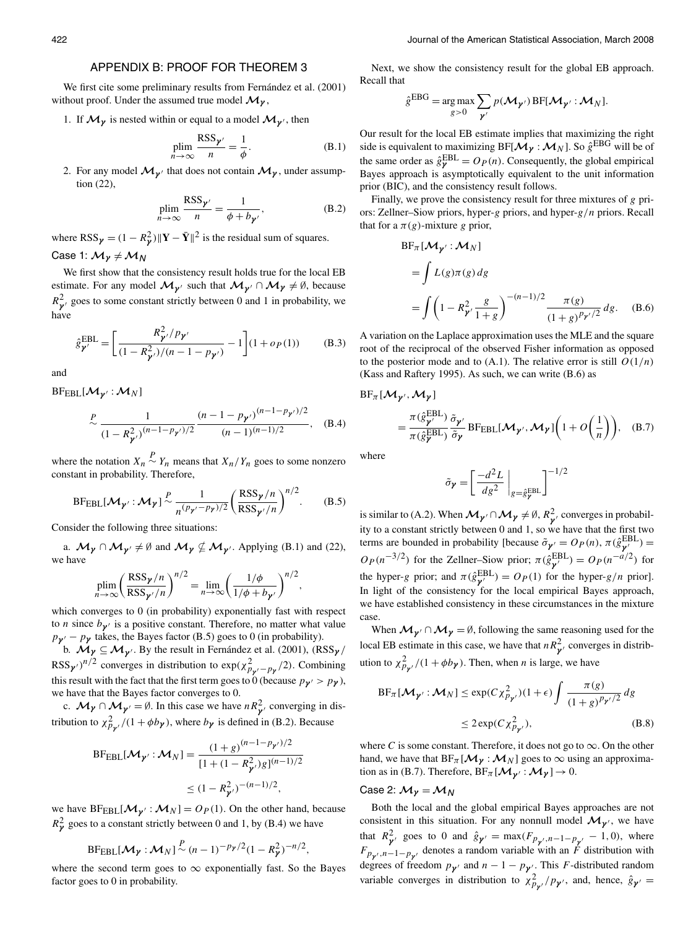## APPENDIX B: PROOF FOR THEOREM 3

We first cite some preliminary results from Fernández et al. (2001) without proof. Under the assumed true model  $\mathcal{M}_{\gamma}$ ,

1. If  $\mathcal{M}_{\gamma}$  is nested within or equal to a model  $\mathcal{M}_{\gamma'}$ , then

$$
\underset{n \to \infty}{\text{plim}} \frac{\text{RSS}_{\gamma'}}{n} = \frac{1}{\phi}.
$$
\n(B.1)

2. For any model  $\mathcal{M}_{\gamma'}$  that does not contain  $\mathcal{M}_{\gamma}$ , under assumption (22),

$$
\underset{n \to \infty}{\text{plim}} \frac{\text{RSS}_{\gamma'}}{n} = \frac{1}{\phi + b_{\gamma'}},
$$
\n(B.2)

where  $RSS_{\gamma} = (1 - R_{\gamma}^2) ||\mathbf{Y} - \bar{\mathbf{Y}}||^2$  is the residual sum of squares. Case 1:  $M<sub>γ</sub> ≠ M<sub>N</sub>$ 

We first show that the consistency result holds true for the local EB estimate. For any model  $M_{\gamma'}$  such that  $M_{\gamma'} \cap M_{\gamma} \neq \emptyset$ , because  $R_{\gamma}^2$  goes to some constant strictly between 0 and 1 in probability, we have

$$
\hat{g}_{\gamma'}^{\text{EBL}} = \left[ \frac{R_{\gamma'}^2 / p_{\gamma'}}{(1 - R_{\gamma'}^2)/(n - 1 - p_{\gamma'})} - 1 \right] (1 + o_P(1)) \tag{B.3}
$$

and

 $BF_{EBL}[M_{\gamma'} : M_N]$ 

$$
\sim \frac{1}{(1 - R_{\mathbf{y}'}^2)^{(n-1-p_{\mathbf{y}'})/2}} \frac{(n-1-p_{\mathbf{y}'})^{(n-1-p_{\mathbf{y}'})/2}}{(n-1)^{(n-1)/2}}, \quad \text{(B.4)}
$$

where the notation  $X_n \sim Y_n$  means that  $X_n/Y_n$  goes to some nonzero constant in probability. Therefore,

$$
\text{BFEBL}[\mathcal{M}_{\gamma'}; \mathcal{M}_{\gamma}] \sim \frac{1}{n^{(p_{\gamma'}-p_{\gamma})/2}} \left(\frac{\text{RSS}_{\gamma}/n}{\text{RSS}_{\gamma'}/n}\right)^{n/2}.
$$
 (B.5)

Consider the following three situations:

a.  $\mathcal{M}_{\gamma} \cap \mathcal{M}_{\gamma'} \neq \emptyset$  and  $\mathcal{M}_{\gamma} \nsubseteq \mathcal{M}_{\gamma'}$ . Applying (B.1) and (22), we have

$$
\text{plim}_{n\to\infty} \left(\frac{\text{RSS}_{\gamma}/n}{\text{RSS}_{\gamma}/n}\right)^{n/2} = \lim_{n\to\infty} \left(\frac{1/\phi}{1/\phi + b_{\gamma'}}\right)^{n/2}
$$

which converges to 0 (in probability) exponentially fast with respect to *n* since  $b_{\gamma}$  is a positive constant. Therefore, no matter what value  $p_{\gamma}$  –  $p_{\gamma}$  takes, the Bayes factor (B.5) goes to 0 (in probability).

b. *Mγ* ⊆*Mγ* . By the result in Fernández et al. (2001), *(*RSS*γ /*  $RSS_{\gamma'}$ <sup>*n*</sup>/<sup>2</sup> converges in distribution to  $exp(\chi^2_{p_{\gamma'}-p_{\gamma}}/2)$ . Combining this result with the fact that the first term goes to 0 (because  $p_{\gamma}$  >  $p_{\gamma}$ ), we have that the Bayes factor converges to 0.

c.  $M_{\gamma} \cap M_{\gamma'} = \emptyset$ . In this case we have  $nR_{\gamma'}^2$  converging in distribution to  $\chi^2_{p\gamma}/(1+\phi b_{\gamma})$ , where  $b_{\gamma}$  is defined in (B.2). Because

$$
BF_{EBL}[\mathcal{M}_{\gamma'} : \mathcal{M}_N] = \frac{(1+g)^{(n-1-p_{\gamma'})/2}}{[1 + (1 - R_{\gamma'}^2)g]^{(n-1)/2}}
$$
  
 
$$
\leq (1 - R_{\gamma'}^2)^{-(n-1)/2},
$$

we have  $BF_{EBL}[\mathcal{M}_{\gamma'} : \mathcal{M}_N] = O_P(1)$ . On the other hand, because  $R_{\gamma}^2$  goes to a constant strictly between 0 and 1, by (B.4) we have

$$
BF_{EBL}[\mathcal{M}_{\gamma}:\mathcal{M}_{N}] \sim (n-1)^{-p_{\gamma}/2} (1 - R_{\gamma}^{2})^{-n/2},
$$

where the second term goes to  $\infty$  exponentially fast. So the Bayes factor goes to 0 in probability.

Next, we show the consistency result for the global EB approach. Recall that

$$
e^{EBG} = \underset{g>0}{\arg \max} \sum_{\mathbf{y}'} p(\mathbf{M}_{\mathbf{y}'}) BF[\mathbf{M}_{\mathbf{y}'} : \mathbf{M}_N].
$$

Our result for the local EB estimate implies that maximizing the right side is equivalent to maximizing BF[ $\mathcal{M}_{\gamma}$  :  $\mathcal{M}_{N}$ ]. So  $\hat{g}^{EBG}$  will be of the same order as  $\hat{g}_{\gamma}^{\text{EBL}} = O_P(n)$ . Consequently, the global empirical Bayes approach is asymptotically equivalent to the unit information prior (BIC), and the consistency result follows.

Finally, we prove the consistency result for three mixtures of *g* priors: Zellner–Siow priors, hyper-*g* priors, and hyper-*g/n* priors. Recall that for a  $\pi$ (g)-mixture *g* prior,

$$
BF_{\pi}[\mathcal{M}_{\gamma'} : \mathcal{M}_N]
$$
  
= 
$$
\int L(g)\pi(g) dg
$$
  
= 
$$
\int \left(1 - R_{\gamma'}^2 \frac{g}{1 + g}\right)^{-(n-1)/2} \frac{\pi(g)}{(1 + g)^{p_{\gamma'}/2}} dg.
$$
 (B.6)

A variation on the Laplace approximation uses the MLE and the square root of the reciprocal of the observed Fisher information as opposed to the posterior mode and to  $(A.1)$ . The relative error is still  $O(1/n)$ (Kass and Raftery 1995). As such, we can write (B.6) as

 $BF_{\pi}[\mathcal{M}_{\nu'}, \mathcal{M}_{\nu'}]$ 

*g*ˆ

$$
= \frac{\pi(\hat{g}_{\gamma'}^{\text{EBL}})}{\pi(\hat{g}_{\gamma}^{\text{EBL}})} \frac{\tilde{\sigma}_{\gamma'}}{\tilde{\sigma}_{\gamma}} \text{BF}_{\text{EBL}}[\mathcal{M}_{\gamma'}, \mathcal{M}_{\gamma}]\left(1 + O\left(\frac{1}{n}\right)\right), \quad (B.7)
$$

where

*,*

$$
\tilde{\sigma}_{\pmb{\gamma}} = \left[ \frac{-d^2 L}{d g^2} \bigg|_{g = \hat{g}_{\pmb{\gamma}}^{\mathrm{EBL}}} \right]^{-1/2}
$$

is similar to (A.2). When  $\mathcal{M}_{\gamma'} \cap \mathcal{M}_{\gamma} \neq \emptyset$ ,  $R_{\gamma'}^2$  converges in probability to a constant strictly between 0 and 1, so we have that the first two terms are bounded in probability [because  $\tilde{\sigma}_{\gamma'} = O_P(n), \pi(\hat{g}_{\gamma'}^{\text{EBL}}) =$  $O_P(n^{-3/2})$  for the Zellner–Siow prior;  $\pi(\hat{g}_{\gamma}^{\text{EBL}}) = O_P(n^{-a/2})$  for the hyper-*g* prior; and  $\pi(\hat{g}_{\gamma}^{\text{EBL}}) = O_P(1)$  for the hyper-*g/n* prior]. In light of the consistency for the local empirical Bayes approach, we have established consistency in these circumstances in the mixture case.

When  $M_{\gamma} \cap M_{\gamma} = \emptyset$ , following the same reasoning used for the local EB estimate in this case, we have that  $nR_{\gamma}^2$  converges in distribution to  $\chi^2_{p_{\gamma'}}/(1 + \phi b_{\gamma})$ . Then, when *n* is large, we have

$$
BF_{\pi}[\mathcal{M}_{\gamma'} : \mathcal{M}_N] \le \exp(C \chi_{p_{\gamma'}}^2)(1+\epsilon) \int \frac{\pi(g)}{(1+g)^{p_{\gamma'}/2}} dg
$$
  

$$
\le 2 \exp(C \chi_{p_{\gamma'}}^2), \tag{B.8}
$$

where *C* is some constant. Therefore, it does not go to  $\infty$ . On the other hand, we have that  $BF_{\pi}[\mathcal{M}_{\gamma}:\mathcal{M}_{N}]$  goes to  $\infty$  using an approximation as in (B.7). Therefore,  $BF_{\pi}[\mathcal{M}_{\gamma'} : \mathcal{M}_{\gamma}] \rightarrow 0$ .

# Case 2:  $M<sub>γ</sub> = M<sub>N</sub>$

Both the local and the global empirical Bayes approaches are not consistent in this situation. For any nonnull model  $\mathcal{M}_{\gamma}$ , we have that  $R_{\gamma}^2$  goes to 0 and  $\hat{g}_{\gamma'} = \max(F_{p_{\gamma'},n-1-p_{\gamma'}} - 1, 0)$ , where  $F_{p_{\gamma'},n-1-p_{\gamma'}}$  denotes a random variable with an *F* distribution with degrees of freedom  $p_{\gamma}$  and  $n - 1 - p_{\gamma}$ . This *F*-distributed random variable converges in distribution to  $\chi^2_{p_{\gamma'}}/p_{\gamma}$ , and, hence,  $\hat{g}_{\gamma'} =$